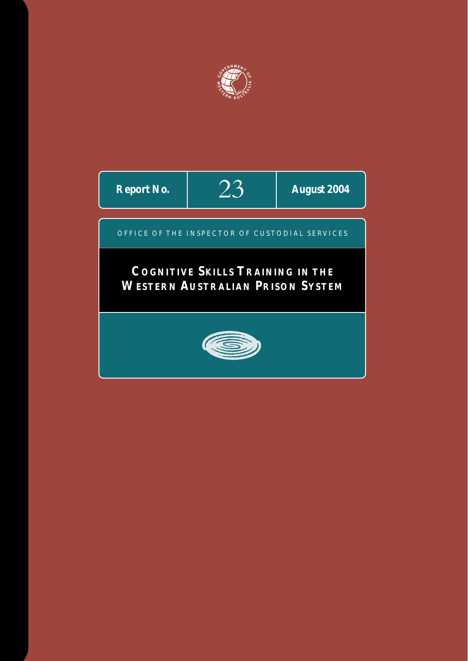

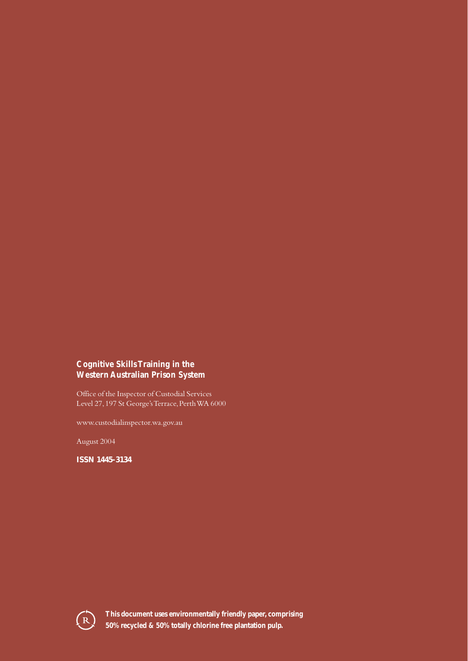## **Cognitive Skills Training in the Western Australian Prison System**

Office of the Inspector of Custodial Services Level 27, 197 St George's Terrace, Perth WA 6000

www.custodialinspector.wa.gov.au

August 2004

**ISSN 1445-3134**



**This document uses environmentally friendly paper,comprising 50% recycled & 50% totally chlorine free plantation pulp.**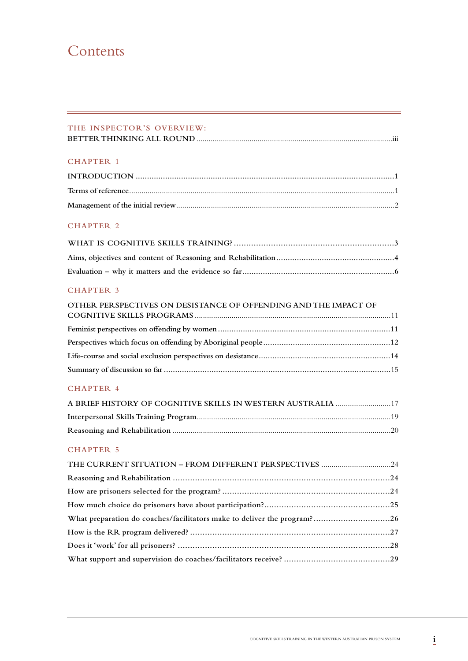## Contents

## **THE INSPECTOR'S OVERVIEW: BETTER THINKING ALL ROUND**................................................................................................iii

### **CHAPTER 1**

## **CHAPTER 2**

## **CHAPTER 3**

| OTHER PERSPECTIVES ON DESISTANCE OF OFFENDING AND THE IMPACT OF |  |
|-----------------------------------------------------------------|--|
|                                                                 |  |
|                                                                 |  |
|                                                                 |  |
|                                                                 |  |
|                                                                 |  |

## **CHAPTER 4**

| A BRIEF HISTORY OF COGNITIVE SKILLS IN WESTERN AUSTRALIA 17 |  |
|-------------------------------------------------------------|--|
|                                                             |  |
|                                                             |  |

### **CHAPTER 5**

| THE CURRENT SITUATION - FROM DIFFERENT PERSPECTIVES 24                  |  |
|-------------------------------------------------------------------------|--|
|                                                                         |  |
|                                                                         |  |
|                                                                         |  |
| What preparation do coaches/facilitators make to deliver the program?26 |  |
|                                                                         |  |
|                                                                         |  |
|                                                                         |  |

 $\equiv$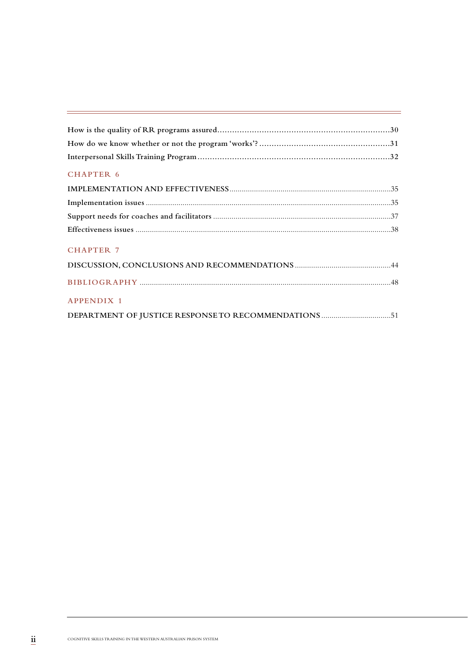| <b>CHAPTER 6</b>  |
|-------------------|
|                   |
|                   |
|                   |
|                   |
|                   |
| <b>CHAPTER 7</b>  |
|                   |
|                   |
| <b>APPENDIX 1</b> |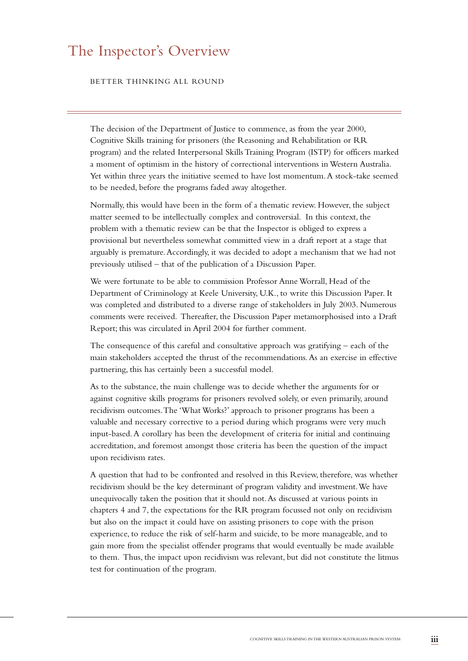## The Inspector's Overview

BETTER THINKING ALL ROUND

The decision of the Department of Justice to commence, as from the year 2000, Cognitive Skills training for prisoners (the Reasoning and Rehabilitation or RR program) and the related Interpersonal Skills Training Program (ISTP) for officers marked a moment of optimism in the history of correctional interventions in Western Australia. Yet within three years the initiative seemed to have lost momentum.A stock-take seemed to be needed, before the programs faded away altogether.

Normally, this would have been in the form of a thematic review. However, the subject matter seemed to be intellectually complex and controversial. In this context, the problem with a thematic review can be that the Inspector is obliged to express a provisional but nevertheless somewhat committed view in a draft report at a stage that arguably is premature.Accordingly, it was decided to adopt a mechanism that we had not previously utilised – that of the publication of a Discussion Paper.

We were fortunate to be able to commission Professor Anne Worrall, Head of the Department of Criminology at Keele University, U.K., to write this Discussion Paper. It was completed and distributed to a diverse range of stakeholders in July 2003. Numerous comments were received. Thereafter, the Discussion Paper metamorphosised into a Draft Report; this was circulated in April 2004 for further comment.

The consequence of this careful and consultative approach was gratifying – each of the main stakeholders accepted the thrust of the recommendations.As an exercise in effective partnering, this has certainly been a successful model.

As to the substance, the main challenge was to decide whether the arguments for or against cognitive skills programs for prisoners revolved solely, or even primarily, around recidivism outcomes.The 'What Works?' approach to prisoner programs has been a valuable and necessary corrective to a period during which programs were very much input-based.A corollary has been the development of criteria for initial and continuing accreditation, and foremost amongst those criteria has been the question of the impact upon recidivism rates.

A question that had to be confronted and resolved in this Review, therefore, was whether recidivism should be the key determinant of program validity and investment.We have unequivocally taken the position that it should not.As discussed at various points in chapters 4 and 7, the expectations for the RR program focussed not only on recidivism but also on the impact it could have on assisting prisoners to cope with the prison experience, to reduce the risk of self-harm and suicide, to be more manageable, and to gain more from the specialist offender programs that would eventually be made available to them. Thus, the impact upon recidivism was relevant, but did not constitute the litmus test for continuation of the program.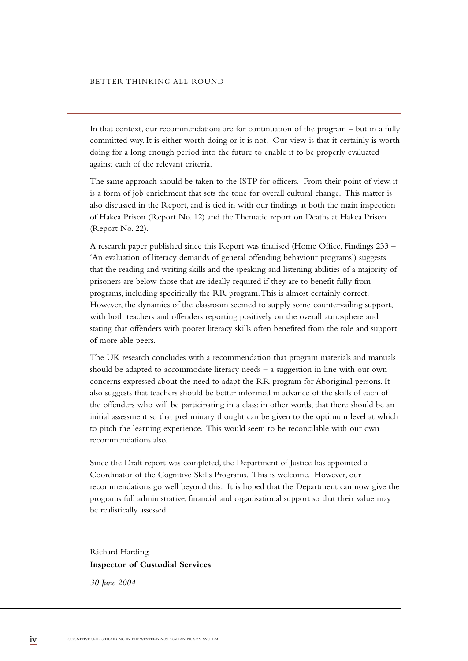In that context, our recommendations are for continuation of the program – but in a fully committed way. It is either worth doing or it is not. Our view is that it certainly is worth doing for a long enough period into the future to enable it to be properly evaluated against each of the relevant criteria.

The same approach should be taken to the ISTP for officers. From their point of view, it is a form of job enrichment that sets the tone for overall cultural change. This matter is also discussed in the Report, and is tied in with our findings at both the main inspection of Hakea Prison (Report No. 12) and the Thematic report on Deaths at Hakea Prison (Report No. 22).

A research paper published since this Report was finalised (Home Office, Findings 233 – 'An evaluation of literacy demands of general offending behaviour programs') suggests that the reading and writing skills and the speaking and listening abilities of a majority of prisoners are below those that are ideally required if they are to benefit fully from programs, including specifically the RR program.This is almost certainly correct. However, the dynamics of the classroom seemed to supply some countervailing support, with both teachers and offenders reporting positively on the overall atmosphere and stating that offenders with poorer literacy skills often benefited from the role and support of more able peers.

The UK research concludes with a recommendation that program materials and manuals should be adapted to accommodate literacy needs – a suggestion in line with our own concerns expressed about the need to adapt the RR program for Aboriginal persons. It also suggests that teachers should be better informed in advance of the skills of each of the offenders who will be participating in a class; in other words, that there should be an initial assessment so that preliminary thought can be given to the optimum level at which to pitch the learning experience. This would seem to be reconcilable with our own recommendations also.

Since the Draft report was completed, the Department of Justice has appointed a Coordinator of the Cognitive Skills Programs. This is welcome. However, our recommendations go well beyond this. It is hoped that the Department can now give the programs full administrative, financial and organisational support so that their value may be realistically assessed.

Richard Harding **Inspector of Custodial Services**

*30 June 2004*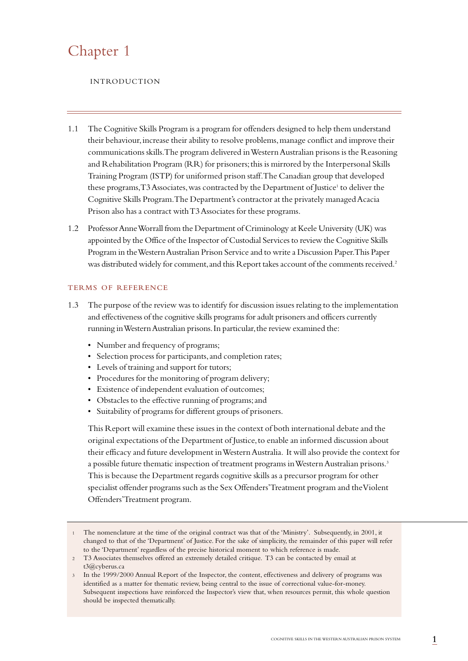# Chapter 1

## INTRODUCTION

- 1.1 The Cognitive Skills Program is a program for offenders designed to help them understand their behaviour,increase their ability to resolve problems,manage conflict and improve their communications skills.The program delivered in Western Australian prisons is the Reasoning and Rehabilitation Program (RR) for prisoners;this is mirrored by the Interpersonal Skills Training Program (ISTP) for uniformed prison staff.The Canadian group that developed these programs, T3 Associates, was contracted by the Department of Justice<sup>1</sup> to deliver the Cognitive Skills Program.The Department's contractor at the privately managed Acacia Prison also has a contract with T3 Associates for these programs.
- 1.2 Professor Anne Worrall from the Department of Criminology at Keele University (UK) was appointed by the Office of the Inspector of Custodial Services to review the Cognitive Skills Program in the Western Australian Prison Service and to write a Discussion Paper.This Paper was distributed widely for comment, and this Report takes account of the comments received.<sup>2</sup>

## **TERMS OF REFERENCE**

- 1.3 The purpose of the review was to identify for discussion issues relating to the implementation and effectiveness of the cognitive skills programs for adult prisoners and officers currently running in Western Australian prisons. In particular, the review examined the:
	- Number and frequency of programs;
	- Selection process for participants, and completion rates;
	- Levels of training and support for tutors;
	- Procedures for the monitoring of program delivery;
	- Existence of independent evaluation of outcomes;
	- Obstacles to the effective running of programs;and
	- Suitability of programs for different groups of prisoners.

This Report will examine these issues in the context of both international debate and the original expectations of the Department of Justice,to enable an informed discussion about their efficacy and future development in Western Australia. It will also provide the context for a possible future thematic inspection of treatment programs in Western Australian prisons.<sup>3</sup> This is because the Department regards cognitive skills as a precursor program for other specialist offender programs such as the Sex Offenders'Treatment program and the Violent Offenders'Treatment program.

<sup>1</sup> The nomenclature at the time of the original contract was that of the 'Ministry'. Subsequently, in 2001, it changed to that of the 'Department' of Justice. For the sake of simplicity, the remainder of this paper will refer to the 'Department' regardless of the precise historical moment to which reference is made.

<sup>2</sup> T3 Associates themselves offered an extremely detailed critique. T3 can be contacted by email at t3@cyberus.ca

<sup>3</sup> In the 1999/2000 Annual Report of the Inspector, the content, effectiveness and delivery of programs was identified as a matter for thematic review, being central to the issue of correctional value-for-money. Subsequent inspections have reinforced the Inspector's view that, when resources permit, this whole question should be inspected thematically.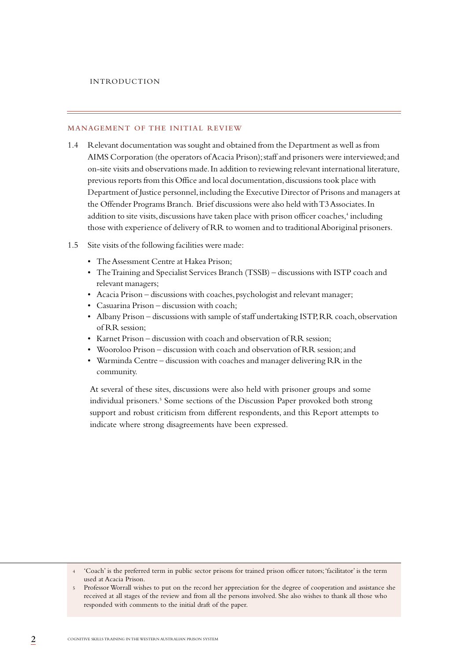#### **MANAGEMENT OF THE INITIAL REVIEW**

- 1.4 Relevant documentation was sought and obtained from the Department as well as from AIMS Corporation (the operators of Acacia Prison);staff and prisoners were interviewed;and on-site visits and observations made.In addition to reviewing relevant international literature, previous reports from this Office and local documentation,discussions took place with Department of Justice personnel,including the Executive Director of Prisons and managers at the Offender Programs Branch. Brief discussions were also held with T3 Associates.In addition to site visits, discussions have taken place with prison officer coaches,<sup>4</sup> including those with experience of delivery of RR to women and to traditional Aboriginal prisoners.
- 1.5 Site visits of the following facilities were made:
	- The Assessment Centre at Hakea Prison;
	- The Training and Specialist Services Branch (TSSB) discussions with ISTP coach and relevant managers;
	- Acacia Prison discussions with coaches, psychologist and relevant manager;
	- Casuarina Prison discussion with coach;
	- Albany Prison discussions with sample of staff undertaking ISTP, RR coach, observation of RR session;
	- Karnet Prison discussion with coach and observation of RR session;
	- Wooroloo Prison discussion with coach and observation of RR session;and
	- Warminda Centre discussion with coaches and manager delivering RR in the community.

At several of these sites, discussions were also held with prisoner groups and some individual prisoners.<sup>5</sup> Some sections of the Discussion Paper provoked both strong support and robust criticism from different respondents, and this Report attempts to indicate where strong disagreements have been expressed.

<sup>4</sup> 'Coach' is the preferred term in public sector prisons for trained prison officer tutors;'facilitator' is the term used at Acacia Prison.

<sup>5</sup> Professor Worrall wishes to put on the record her appreciation for the degree of cooperation and assistance she received at all stages of the review and from all the persons involved. She also wishes to thank all those who responded with comments to the initial draft of the paper.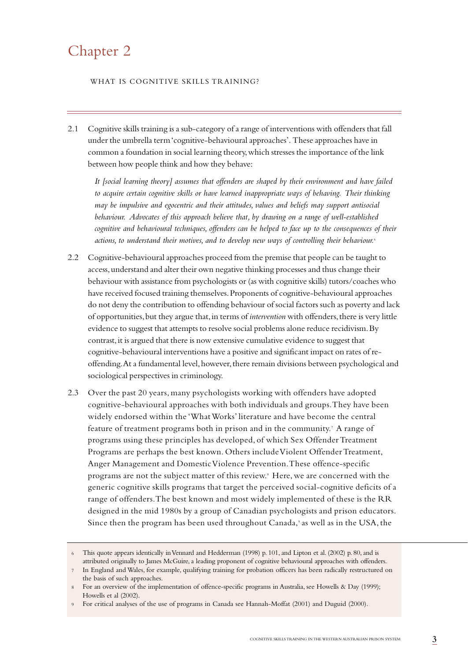# Chapter 2

WHAT IS COGNITIVE SKILLS TRAINING?

2.1 Cognitive skills training is a sub-category of a range of interventions with offenders that fall under the umbrella term 'cognitive-behavioural approaches'. These approaches have in common a foundation in social learning theory, which stresses the importance of the link between how people think and how they behave:

*It [social learning theory] assumes that offenders are shaped by their environment and have failed to acquire certain cognitive skills or have learned inappropriate ways of behaving. Their thinking may be impulsive and egocentric and their attitudes, values and beliefs may support antisocial behaviour. Advocates of this approach believe that, by drawing on a range of well-established cognitive and behavioural techniques, offenders can be helped to face up to the consequences of their actions, to understand their motives, and to develop new ways of controlling their behaviour.*<sup>6</sup>

- 2.2 Cognitive-behavioural approaches proceed from the premise that people can be taught to access,understand and alter their own negative thinking processes and thus change their behaviour with assistance from psychologists or (as with cognitive skills) tutors/coaches who have received focused training themselves.Proponents of cognitive-behavioural approaches do not deny the contribution to offending behaviour of social factors such as poverty and lack of opportunities,but they argue that,in terms of *intervention* with offenders,there is very little evidence to suggest that attempts to resolve social problems alone reduce recidivism.By contrast,it is argued that there is now extensive cumulative evidence to suggest that cognitive-behavioural interventions have a positive and significant impact on rates of reoffending. At a fundamental level, however, there remain divisions between psychological and sociological perspectives in criminology.
- 2.3 Over the past 20 years, many psychologists working with offenders have adopted cognitive-behavioural approaches with both individuals and groups.They have been widely endorsed within the 'What Works' literature and have become the central feature of treatment programs both in prison and in the community.7 A range of programs using these principles has developed, of which Sex Offender Treatment Programs are perhaps the best known. Others include Violent Offender Treatment, Anger Management and Domestic Violence Prevention.These offence-specific programs are not the subject matter of this review.8 Here, we are concerned with the generic cognitive skills programs that target the perceived social-cognitive deficits of a range of offenders.The best known and most widely implemented of these is the RR designed in the mid 1980s by a group of Canadian psychologists and prison educators. Since then the program has been used throughout Canada,<sup>9</sup> as well as in the USA, the

<sup>6</sup> This quote appears identically in Vennard and Hedderman (1998) p. 101, and Lipton et al. (2002) p. 80, and is attributed originally to James McGuire, a leading proponent of cognitive behavioural approaches with offenders.

<sup>7</sup> In England and Wales, for example, qualifying training for probation officers has been radically restructured on the basis of such approaches.

<sup>8</sup> For an overview of the implementation of offence-specific programs in Australia, see Howells & Day (1999); Howells et al (2002).

<sup>9</sup> For critical analyses of the use of programs in Canada see Hannah-Moffat (2001) and Duguid (2000).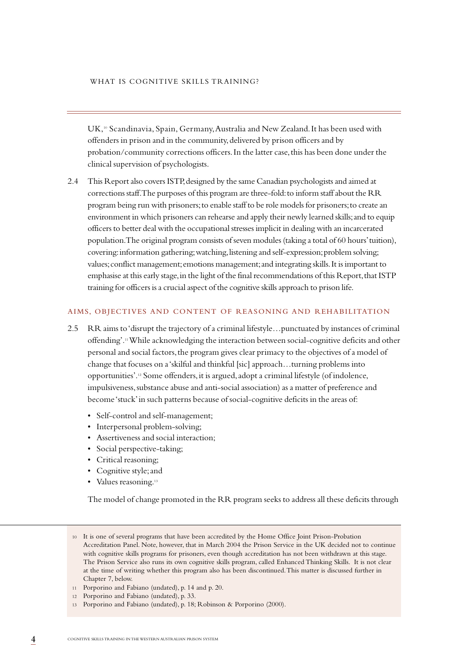UK,10 Scandinavia, Spain, Germany,Australia and New Zealand.It has been used with offenders in prison and in the community,delivered by prison officers and by probation/community corrections officers. In the latter case, this has been done under the clinical supervision of psychologists.

2.4 This Report also covers ISTP,designed by the same Canadian psychologists and aimed at corrections staff.The purposes of this program are three-fold:to inform staff about the RR program being run with prisoners;to enable staff to be role models for prisoners;to create an environment in which prisoners can rehearse and apply their newly learned skills; and to equip officers to better deal with the occupational stresses implicit in dealing with an incarcerated population.The original program consists of seven modules (taking a total of 60 hours'tuition), covering: information gathering; watching, listening and self-expression; problem solving; values;conflict management;emotions management;and integrating skills.It is important to emphasise at this early stage, in the light of the final recommendations of this Report, that ISTP training for officers is a crucial aspect of the cognitive skills approach to prison life.

## **AIMS, OBJECTIVES AND CONTENT OF REASONING AND REHABILITATION**

- 2.5 RR aims to 'disrupt the trajectory of a criminal lifestyle…punctuated by instances of criminal offending'. 11While acknowledging the interaction between social-cognitive deficits and other personal and social factors, the program gives clear primacy to the objectives of a model of change that focuses on a 'skilful and thinkful [sic] approach…turning problems into opportunities'. <sup>12</sup> Some offenders,it is argued,adopt a criminal lifestyle (of indolence, impulsiveness,substance abuse and anti-social association) as a matter of preference and become 'stuck'in such patterns because of social-cognitive deficits in the areas of:
	- Self-control and self-management;
	- Interpersonal problem-solving;
	- Assertiveness and social interaction;
	- Social perspective-taking;
	- Critical reasoning;
	- Cognitive style;and
	- Values reasoning.<sup>13</sup>

The model of change promoted in the RR program seeks to address all these deficits through

- <sup>10</sup> It is one of several programs that have been accredited by the Home Office Joint Prison-Probation Accreditation Panel. Note, however, that in March 2004 the Prison Service in the UK decided not to continue with cognitive skills programs for prisoners, even though accreditation has not been withdrawn at this stage. The Prison Service also runs its own cognitive skills program, called Enhanced Thinking Skills. It is not clear at the time of writing whether this program also has been discontinued.This matter is discussed further in Chapter 7, below.
- <sup>11</sup> Porporino and Fabiano (undated), p. 14 and p. 20.
- <sup>12</sup> Porporino and Fabiano (undated), p. 33.
- <sup>13</sup> Porporino and Fabiano (undated), p. 18; Robinson & Porporino (2000).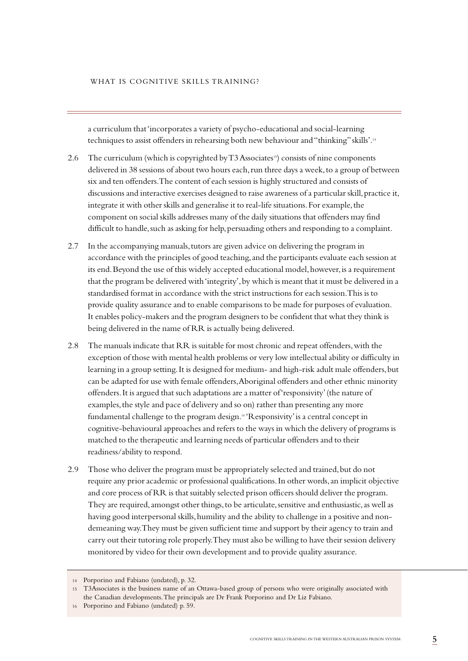#### WHAT IS COGNITIVE SKILLS TRAINING?

a curriculum that 'incorporates a variety of psycho-educational and social-learning techniques to assist offenders in rehearsing both new behaviour and "thinking" skills'.<sup>14</sup>

- 2.6 The curriculum (which is copyrighted by T3 Associates<sup>15</sup>) consists of nine components delivered in 38 sessions of about two hours each,run three days a week,to a group of between six and ten offenders.The content of each session is highly structured and consists of discussions and interactive exercises designed to raise awareness of a particular skill, practice it, integrate it with other skills and generalise it to real-life situations.For example,the component on social skills addresses many of the daily situations that offenders may find difficult to handle, such as asking for help, persuading others and responding to a complaint.
- 2.7 In the accompanying manuals,tutors are given advice on delivering the program in accordance with the principles of good teaching,and the participants evaluate each session at its end. Beyond the use of this widely accepted educational model, however, is a requirement that the program be delivered with 'integrity',by which is meant that it must be delivered in a standardised format in accordance with the strict instructions for each session.This is to provide quality assurance and to enable comparisons to be made for purposes of evaluation. It enables policy-makers and the program designers to be confident that what they think is being delivered in the name of RR is actually being delivered.
- 2.8 The manuals indicate that RR is suitable for most chronic and repeat offenders, with the exception of those with mental health problems or very low intellectual ability or difficulty in learning in a group setting. It is designed for medium- and high-risk adult male offenders, but can be adapted for use with female offenders,Aboriginal offenders and other ethnic minority offenders.It is argued that such adaptations are a matter of 'responsivity'(the nature of examples, the style and pace of delivery and so on) rather than presenting any more fundamental challenge to the program design.16 'Responsivity'is a central concept in cognitive-behavioural approaches and refers to the ways in which the delivery of programs is matched to the therapeutic and learning needs of particular offenders and to their readiness/ability to respond.
- 2.9 Those who deliver the program must be appropriately selected and trained, but do not require any prior academic or professional qualifications.In other words,an implicit objective and core process of RR is that suitably selected prison officers should deliver the program. They are required, amongst other things, to be articulate, sensitive and enthusiastic, as well as having good interpersonal skills, humility and the ability to challenge in a positive and nondemeaning way.They must be given sufficient time and support by their agency to train and carry out their tutoring role properly.They must also be willing to have their session delivery monitored by video for their own development and to provide quality assurance.

<sup>14</sup> Porporino and Fabiano (undated), p. 32.

<sup>15</sup> T3Associates is the business name of an Ottawa-based group of persons who were originally associated with the Canadian developments.The principals are Dr Frank Porporino and Dr Liz Fabiano.

<sup>16</sup> Porporino and Fabiano (undated) p. 59.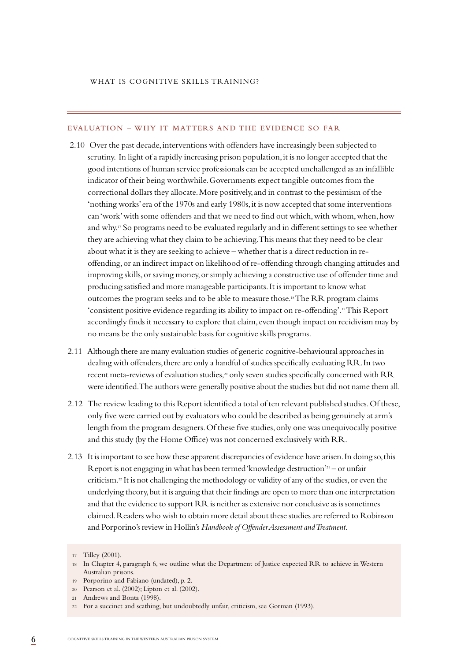#### **EVALUATION – WHY IT MATTERS AND THE EVIDENCE SO FAR**

- 2.10 Over the past decade, interventions with offenders have increasingly been subjected to scrutiny. In light of a rapidly increasing prison population, it is no longer accepted that the good intentions of human service professionals can be accepted unchallenged as an infallible indicator of their being worthwhile.Governments expect tangible outcomes from the correctional dollars they allocate.More positively,and in contrast to the pessimism of the 'nothing works'era of the 1970s and early 1980s,it is now accepted that some interventions can 'work' with some offenders and that we need to find out which, with whom, when, how and why.<sup>17</sup> So programs need to be evaluated regularly and in different settings to see whether they are achieving what they claim to be achieving.This means that they need to be clear about what it is they are seeking to achieve – whether that is a direct reduction in reoffending,or an indirect impact on likelihood of re-offending through changing attitudes and improving skills,or saving money,or simply achieving a constructive use of offender time and producing satisfied and more manageable participants.It is important to know what outcomes the program seeks and to be able to measure those.18The RR program claims 'consistent positive evidence regarding its ability to impact on re-offending'. 19This Report accordingly finds it necessary to explore that claim,even though impact on recidivism may by no means be the only sustainable basis for cognitive skills programs.
- 2.11 Although there are many evaluation studies of generic cognitive-behavioural approaches in dealing with offenders, there are only a handful of studies specifically evaluating RR. In two recent meta-reviews of evaluation studies,<sup>20</sup> only seven studies specifically concerned with RR were identified.The authors were generally positive about the studies but did not name them all.
- 2.12 The review leading to this Report identified a total of ten relevant published studies.Of these, only five were carried out by evaluators who could be described as being genuinely at arm's length from the program designers.Of these five studies,only one was unequivocally positive and this study (by the Home Office) was not concerned exclusively with RR.
- 2.13 It is important to see how these apparent discrepancies of evidence have arisen.In doing so,this Report is not engaging in what has been termed 'knowledge destruction' <sup>21</sup> – or unfair criticism.<sup>22</sup> It is not challenging the methodology or validity of any of the studies, or even the underlying theory,but it is arguing that their findings are open to more than one interpretation and that the evidence to support RR is neither as extensive nor conclusive as is sometimes claimed.Readers who wish to obtain more detail about these studies are referred to Robinson and Porporino's review in Hollin's *Handbook of Offender Assessment and Treatment.*

<sup>17</sup> Tilley (2001).

<sup>18</sup> In Chapter 4, paragraph 6, we outline what the Department of Justice expected RR to achieve in Western Australian prisons.

<sup>19</sup> Porporino and Fabiano (undated), p. 2.

<sup>20</sup> Pearson et al. (2002); Lipton et al. (2002).

<sup>21</sup> Andrews and Bonta (1998).

<sup>22</sup> For a succinct and scathing, but undoubtedly unfair, criticism, see Gorman (1993).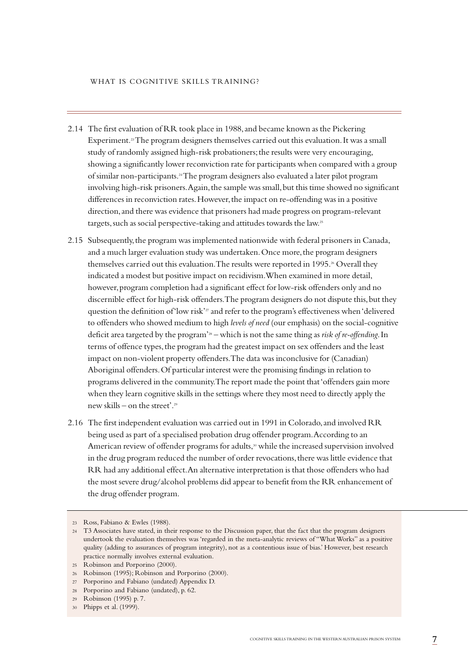- 2.14 The first evaluation of RR took place in 1988,and became known as the Pickering Experiment.<sup>23</sup>The program designers themselves carried out this evaluation. It was a small study of randomly assigned high-risk probationers;the results were very encouraging, showing a significantly lower reconviction rate for participants when compared with a group of similar non-participants.24The program designers also evaluated a later pilot program involving high-risk prisoners. Again, the sample was small, but this time showed no significant differences in reconviction rates.However,the impact on re-offending was in a positive direction,and there was evidence that prisoners had made progress on program-relevant targets, such as social perspective-taking and attitudes towards the law.<sup>25</sup>
- 2.15 Subsequently,the program was implemented nationwide with federal prisoners in Canada, and a much larger evaluation study was undertaken. Once more, the program designers themselves carried out this evaluation. The results were reported in 1995.<sup>26</sup> Overall they indicated a modest but positive impact on recidivism.When examined in more detail, however, program completion had a significant effect for low-risk offenders only and no discernible effect for high-risk offenders. The program designers do not dispute this, but they question the definition of 'low risk'<sup>27</sup> and refer to the program's effectiveness when 'delivered to offenders who showed medium to high *levels of need* (our emphasis) on the social-cognitive deficit area targeted by the program' <sup>28</sup> – which is not the same thing as *risk of re-offending*.In terms of offence types, the program had the greatest impact on sex offenders and the least impact on non-violent property offenders.The data was inconclusive for (Canadian) Aboriginal offenders.Of particular interest were the promising findings in relation to programs delivered in the community.The report made the point that 'offenders gain more when they learn cognitive skills in the settings where they most need to directly apply the new skills – on the street'. 29
- 2.16 The first independent evaluation was carried out in 1991 in Colorado,and involved RR being used as part of a specialised probation drug offender program.According to an American review of offender programs for adults,<sup>30</sup> while the increased supervision involved in the drug program reduced the number of order revocations,there was little evidence that RR had any additional effect.An alternative interpretation is that those offenders who had the most severe drug/alcohol problems did appear to benefit from the RR enhancement of the drug offender program.

<sup>23</sup> Ross, Fabiano & Ewles (1988).

<sup>24</sup> T3 Associates have stated, in their response to the Discussion paper, that the fact that the program designers undertook the evaluation themselves was 'regarded in the meta-analytic reviews of "What Works" as a positive quality (adding to assurances of program integrity), not as a contentious issue of bias.' However, best research practice normally involves external evaluation.

<sup>25</sup> Robinson and Porporino (2000).

<sup>26</sup> Robinson (1995); Robinson and Porporino (2000).

<sup>27</sup> Porporino and Fabiano (undated) Appendix D.

<sup>28</sup> Porporino and Fabiano (undated), p. 62.

<sup>29</sup> Robinson (1995) p. 7.

<sup>30</sup> Phipps et al. (1999).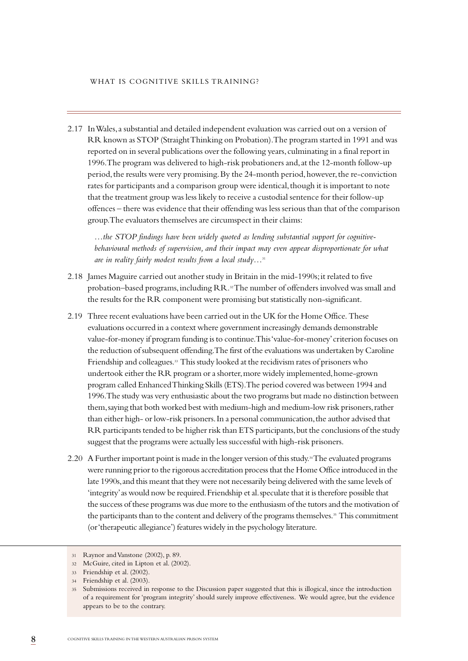2.17 In Wales,a substantial and detailed independent evaluation was carried out on a version of RR known as STOP (Straight Thinking on Probation).The program started in 1991 and was reported on in several publications over the following years, culminating in a final report in 1996.The program was delivered to high-risk probationers and,at the 12-month follow-up period,the results were very promising.By the 24-month period,however,the re-conviction rates for participants and a comparison group were identical, though it is important to note that the treatment group was less likely to receive a custodial sentence for their follow-up offences – there was evidence that their offending was less serious than that of the comparison group.The evaluators themselves are circumspect in their claims:

*…the STOP findings have been widely quoted as lending substantial support for cognitivebehavioural methods of supervision, and their impact may even appear disproportionate for what are in reality fairly modest results from a local study…*<sup>31</sup>

- 2.18 James Maguire carried out another study in Britain in the mid-1990s;it related to five probation–based programs, including RR.<sup>32</sup>The number of offenders involved was small and the results for the RR component were promising but statistically non-significant.
- 2.19 Three recent evaluations have been carried out in the UK for the Home Office. These evaluations occurred in a context where government increasingly demands demonstrable value-for-money if program funding is to continue.This 'value-for-money'criterion focuses on the reduction of subsequent offending.The first of the evaluations was undertaken by Caroline Friendship and colleagues.<sup>33</sup> This study looked at the recidivism rates of prisoners who undertook either the RR program or a shorter, more widely implemented, home-grown program called Enhanced Thinking Skills (ETS).The period covered was between 1994 and 1996.The study was very enthusiastic about the two programs but made no distinction between them,saying that both worked best with medium-high and medium-low risk prisoners,rather than either high- or low-risk prisoners. In a personal communication, the author advised that RR participants tended to be higher risk than ETS participants, but the conclusions of the study suggest that the programs were actually less successful with high-risk prisoners.
- 2.20 A Further important point is made in the longer version of this study.<sup>34</sup>The evaluated programs were running prior to the rigorous accreditation process that the Home Office introduced in the late 1990s,and this meant that they were not necessarily being delivered with the same levels of 'integrity'as would now be required.Friendship et al.speculate that it is therefore possible that the success of these programs was due more to the enthusiasm of the tutors and the motivation of the participants than to the content and delivery of the programs themselves.<sup>35</sup> This commitment (or 'therapeutic allegiance') features widely in the psychology literature.

<sup>31</sup> Raynor and Vanstone (2002), p. 89.

<sup>32</sup> McGuire, cited in Lipton et al. (2002).

<sup>33</sup> Friendship et al. (2002).

<sup>34</sup> Friendship et al. (2003).

<sup>35</sup> Submissions received in response to the Discussion paper suggested that this is illogical, since the introduction of a requirement for 'program integrity' should surely improve effectiveness. We would agree, but the evidence appears to be to the contrary.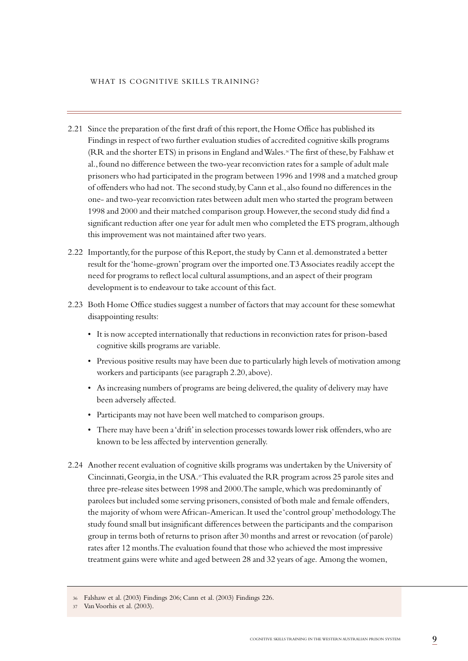#### WHAT IS COGNITIVE SKILLS TRAINING?

- 2.21 Since the preparation of the first draft of this report, the Home Office has published its Findings in respect of two further evaluation studies of accredited cognitive skills programs (RR and the shorter ETS) in prisons in England and Wales.<sup>36</sup>The first of these, by Falshaw et al.,found no difference between the two-year reconviction rates for a sample of adult male prisoners who had participated in the program between 1996 and 1998 and a matched group of offenders who had not. The second study,by Cann et al.,also found no differences in the one- and two-year reconviction rates between adult men who started the program between 1998 and 2000 and their matched comparison group.However,the second study did find a significant reduction after one year for adult men who completed the ETS program, although this improvement was not maintained after two years.
- 2.22 Importantly, for the purpose of this Report, the study by Cann et al. demonstrated a better result for the 'home-grown'program over the imported one.T3 Associates readily accept the need for programs to reflect local cultural assumptions,and an aspect of their program development is to endeavour to take account of this fact.
- 2.23 Both Home Office studies suggest a number of factors that may account for these somewhat disappointing results:
	- It is now accepted internationally that reductions in reconviction rates for prison-based cognitive skills programs are variable.
	- Previous positive results may have been due to particularly high levels of motivation among workers and participants (see paragraph 2.20, above).
	- As increasing numbers of programs are being delivered, the quality of delivery may have been adversely affected.
	- Participants may not have been well matched to comparison groups.
	- There may have been a 'drift'in selection processes towards lower risk offenders,who are known to be less affected by intervention generally.
- 2.24 Another recent evaluation of cognitive skills programs was undertaken by the University of Cincinnati, Georgia, in the USA.<sup>37</sup>This evaluated the RR program across 25 parole sites and three pre-release sites between 1998 and 2000.The sample,which was predominantly of parolees but included some serving prisoners,consisted of both male and female offenders, the majority of whom were African-American.It used the 'control group'methodology.The study found small but insignificant differences between the participants and the comparison group in terms both of returns to prison after 30 months and arrest or revocation (of parole) rates after 12 months.The evaluation found that those who achieved the most impressive treatment gains were white and aged between 28 and 32 years of age. Among the women,

<sup>36</sup> Falshaw et al. (2003) Findings 206; Cann et al. (2003) Findings 226.

<sup>37</sup> Van Voorhis et al. (2003).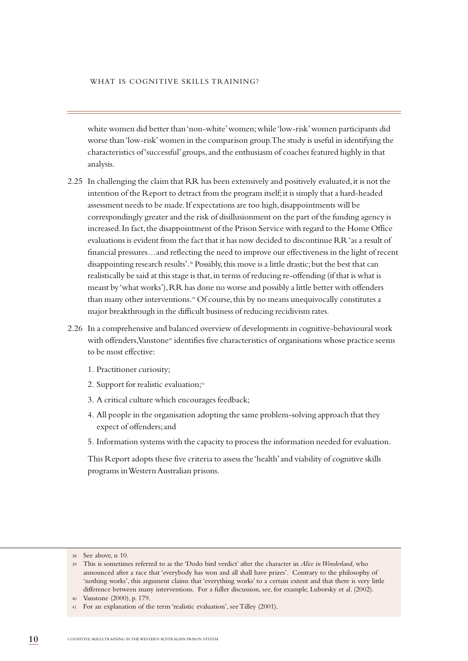#### WHAT IS COGNITIVE SKILLS TRAINING?

white women did better than 'non-white'women;while 'low-risk'women participants did worse than 'low-risk'women in the comparison group.The study is useful in identifying the characteristics of 'successful'groups,and the enthusiasm of coaches featured highly in that analysis.

- 2.25 In challenging the claim that RR has been extensively and positively evaluated, it is not the intention of the Report to detract from the program itself;it is simply that a hard-headed assessment needs to be made. If expectations are too high, disappointments will be correspondingly greater and the risk of disillusionment on the part of the funding agency is increased. In fact, the disappointment of the Prison Service with regard to the Home Office evaluations is evident from the fact that it has now decided to discontinue RR 'as a result of financial pressures…and reflecting the need to improve our effectiveness in the light of recent disappointing research results'.<sup>38</sup> Possibly, this move is a little drastic; but the best that can realistically be said at this stage is that, in terms of reducing re-offending (if that is what is meant by 'what works'),RR has done no worse and possibly a little better with offenders than many other interventions.<sup>39</sup> Of course, this by no means unequivocally constitutes a major breakthrough in the difficult business of reducing recidivism rates.
- 2.26 In a comprehensive and balanced overview of developments in cognitive-behavioural work with offenders, Vanstone<sup>40</sup> identifies five characteristics of organisations whose practice seems to be most effective:
	- 1. Practitioner curiosity;
	- 2. Support for realistic evaluation;<sup>41</sup>
	- 3. A critical culture which encourages feedback;
	- 4. All people in the organisation adopting the same problem-solving approach that they expect of offenders;and
	- 5. Information systems with the capacity to process the information needed for evaluation.

This Report adopts these five criteria to assess the 'health'and viability of cognitive skills programs in Western Australian prisons.

<sup>38</sup> See above, n 10.

<sup>39</sup> This is sometimes referred to as the 'Dodo bird verdict' after the character in *Alice in Wonderland*, who announced after a race that 'everybody has won and all shall have prizes'. Contrary to the philosophy of 'nothing works', this argument claims that 'everything works' to a certain extent and that there is very little difference between many interventions. For a fuller discussion, see, for example, Luborsky et al. (2002).

<sup>40</sup> Vanstone (2000), p. 179.

<sup>41</sup> For an explanation of the term 'realistic evaluation', see Tilley (2001).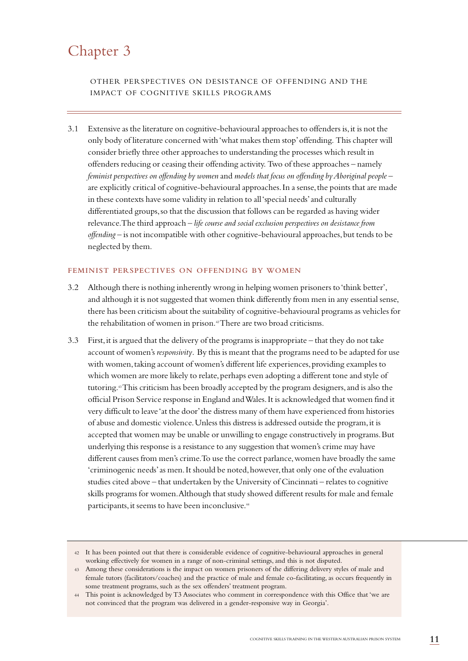## Chapter 3

OTHER PERSPECTIVES ON DESISTANCE OF OFFENDING AND THE IMPACT OF COGNITIVE SKILLS PROGRAMS

3.1 Extensive as the literature on cognitive-behavioural approaches to offenders is,it is not the only body of literature concerned with 'what makes them stop'offending. This chapter will consider briefly three other approaches to understanding the processes which result in offenders reducing or ceasing their offending activity. Two of these approaches – namely *feminist perspectives on offending by women* and *models that focus on offending by Aboriginal people* – are explicitly critical of cognitive-behavioural approaches. In a sense, the points that are made in these contexts have some validity in relation to all 'special needs'and culturally differentiated groups,so that the discussion that follows can be regarded as having wider relevance.The third approach – *life course and social exclusion perspectives on desistance from offending* – is not incompatible with other cognitive-behavioural approaches, but tends to be neglected by them.

#### **FEMINIST PERSPECTIVES ON OFFENDING BY WOMEN**

- 3.2 Although there is nothing inherently wrong in helping women prisoners to 'think better', and although it is not suggested that women think differently from men in any essential sense, there has been criticism about the suitability of cognitive-behavioural programs as vehicles for the rehabilitation of women in prison.<sup>42</sup>There are two broad criticisms.
- 3.3 First,it is argued that the delivery of the programs is inappropriate that they do not take account of women's *responsivity*. By this is meant that the programs need to be adapted for use with women,taking account of women's different life experiences,providing examples to which women are more likely to relate, perhaps even adopting a different tone and style of tutoring.43This criticism has been broadly accepted by the program designers,and is also the official Prison Service response in England and Wales.It is acknowledged that women find it very difficult to leave 'at the door'the distress many of them have experienced from histories of abuse and domestic violence.Unless this distress is addressed outside the program,it is accepted that women may be unable or unwilling to engage constructively in programs.But underlying this response is a resistance to any suggestion that women's crime may have different causes from men's crime.To use the correct parlance,women have broadly the same 'criminogenic needs'as men.It should be noted,however,that only one of the evaluation studies cited above – that undertaken by the University of Cincinnati – relates to cognitive skills programs for women.Although that study showed different results for male and female participants, it seems to have been inconclusive.<sup>44</sup>

<sup>42</sup> It has been pointed out that there is considerable evidence of cognitive-behavioural approaches in general working effectively for women in a range of non-criminal settings, and this is not disputed.

<sup>43</sup> Among these considerations is the impact on women prisoners of the differing delivery styles of male and female tutors (facilitators/coaches) and the practice of male and female co-facilitating, as occurs frequently in some treatment programs, such as the sex offenders' treatment program.

This point is acknowledged by T3 Associates who comment in correspondence with this Office that 'we are not convinced that the program was delivered in a gender-responsive way in Georgia'.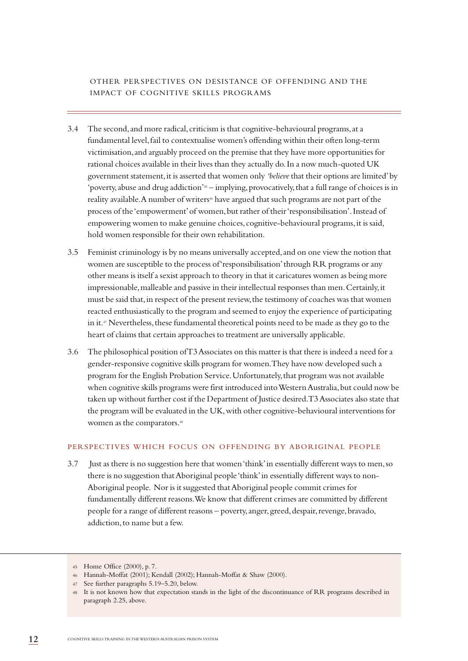- 3.4 The second,and more radical,criticism is that cognitive-behavioural programs,at a fundamental level,fail to contextualise women's offending within their often long-term victimisation,and arguably proceed on the premise that they have more opportunities for rational choices available in their lives than they actually do.In a now much-quoted UK government statement,it is asserted that women only *'believe* that their options are limited'by 'poverty, abuse and drug addiction'<sup>45</sup> – implying, provocatively, that a full range of choices is in reality available. A number of writers<sup>46</sup> have argued that such programs are not part of the process of the 'empowerment'of women,but rather of their 'responsibilisation'.Instead of empowering women to make genuine choices, cognitive-behavioural programs, it is said, hold women responsible for their own rehabilitation.
- 3.5 Feminist criminology is by no means universally accepted,and on one view the notion that women are susceptible to the process of 'responsibilisation'through RR programs or any other means is itself a sexist approach to theory in that it caricatures women as being more impressionable, malleable and passive in their intellectual responses than men. Certainly, it must be said that,in respect of the present review,the testimony of coaches was that women reacted enthusiastically to the program and seemed to enjoy the experience of participating in it. $\pi$  Nevertheless, these fundamental theoretical points need to be made as they go to the heart of claims that certain approaches to treatment are universally applicable.
- 3.6 The philosophical position of T3 Associates on this matter is that there is indeed a need for a gender-responsive cognitive skills program for women.They have now developed such a program for the English Probation Service.Unfortunately,that program was not available when cognitive skills programs were first introduced into Western Australia, but could now be taken up without further cost if the Department of Justice desired.T3 Associates also state that the program will be evaluated in the UK, with other cognitive-behavioural interventions for women as the comparators.<sup>48</sup>

## **PERSPECTIVES WHICH FOCUS ON OFFENDING BY ABORIGINAL PEOPLE**

3.7 Just as there is no suggestion here that women 'think'in essentially different ways to men,so there is no suggestion that Aboriginal people 'think'in essentially different ways to non-Aboriginal people. Nor is it suggested that Aboriginal people commit crimes for fundamentally different reasons.We know that different crimes are committed by different people for a range of different reasons - poverty, anger, greed, despair, revenge, bravado, addiction,to name but a few.

<sup>45</sup> Home Office (2000), p. 7.

<sup>46</sup> Hannah-Moffat (2001); Kendall (2002); Hannah-Moffat & Shaw (2000).

<sup>47</sup> See further paragraphs 5.19–5.20, below.

<sup>48</sup> It is not known how that expectation stands in the light of the discontinuance of RR programs described in paragraph 2.25, above.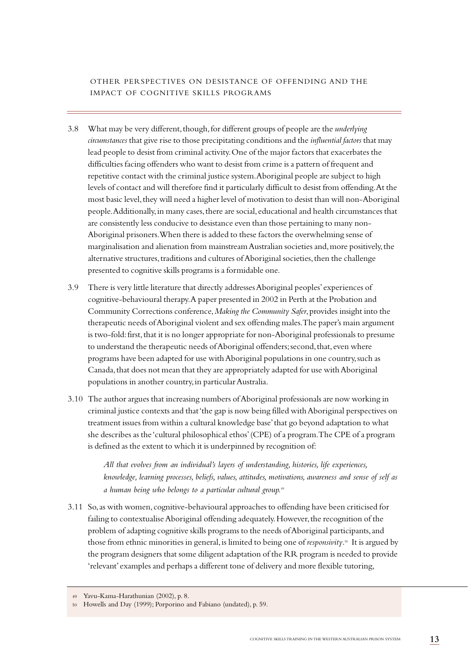- 3.8 What may be very different,though,for different groups of people are the *underlying circumstances* that give rise to those precipitating conditions and the *influential factors* that may lead people to desist from criminal activity.One of the major factors that exacerbates the difficulties facing offenders who want to desist from crime is a pattern of frequent and repetitive contact with the criminal justice system.Aboriginal people are subject to high levels of contact and will therefore find it particularly difficult to desist from offending.At the most basic level, they will need a higher level of motivation to desist than will non-Aboriginal people.Additionally,in many cases,there are social,educational and health circumstances that are consistently less conducive to desistance even than those pertaining to many non-Aboriginal prisoners.When there is added to these factors the overwhelming sense of marginalisation and alienation from mainstream Australian societies and,more positively,the alternative structures, traditions and cultures of Aboriginal societies, then the challenge presented to cognitive skills programs is a formidable one.
- 3.9 There is very little literature that directly addresses Aboriginal peoples'experiences of cognitive-behavioural therapy.A paper presented in 2002 in Perth at the Probation and Community Corrections conference, *Making the Community Safer*, provides insight into the therapeutic needs of Aboriginal violent and sex offending males.The paper's main argument is two-fold: first, that it is no longer appropriate for non-Aboriginal professionals to presume to understand the therapeutic needs of Aboriginal offenders; second, that, even where programs have been adapted for use with Aboriginal populations in one country,such as Canada,that does not mean that they are appropriately adapted for use with Aboriginal populations in another country,in particular Australia.
- 3.10 The author argues that increasing numbers of Aboriginal professionals are now working in criminal justice contexts and that 'the gap is now being filled with Aboriginal perspectives on treatment issues from within a cultural knowledge base'that go beyond adaptation to what she describes as the 'cultural philosophical ethos'(CPE) of a program.The CPE of a program is defined as the extent to which it is underpinned by recognition of:

*All that evolves from an individual's layers of understanding, histories, life experiences, knowledge, learning processes, beliefs, values, attitudes, motivations, awareness and sense of self as a human being who belongs to a particular cultural group.*<sup>49</sup>

3.11 So,as with women,cognitive-behavioural approaches to offending have been criticised for failing to contextualise Aboriginal offending adequately.However,the recognition of the problem of adapting cognitive skills programs to the needs of Aboriginal participants,and those from ethnic minorities in general, is limited to being one of *responsivity*.<sup>50</sup> It is argued by the program designers that some diligent adaptation of the RR program is needed to provide 'relevant'examples and perhaps a different tone of delivery and more flexible tutoring,

<sup>49</sup> Yavu-Kama-Harathunian (2002), p. 8.

<sup>50</sup> Howells and Day (1999); Porporino and Fabiano (undated), p. 59.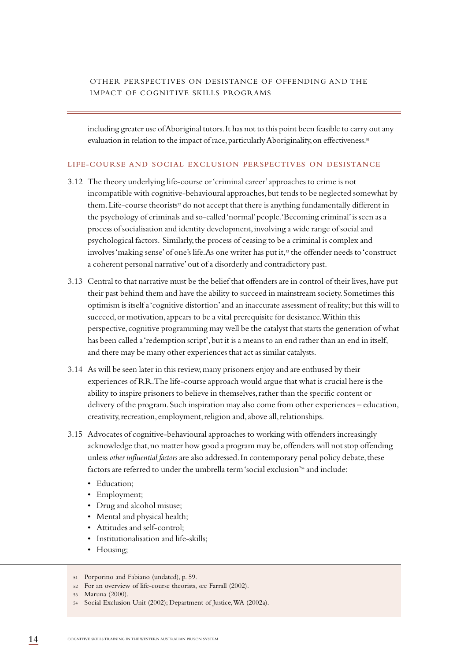including greater use of Aboriginal tutors.It has not to this point been feasible to carry out any evaluation in relation to the impact of race, particularly Aboriginality, on effectiveness.<sup>51</sup>

### **LIFE-COURSE AND SOCIAL EXCLUSION PERSPECTIVES ON DESISTANCE**

- 3.12 The theory underlying life-course or 'criminal career'approaches to crime is not incompatible with cognitive-behavioural approaches, but tends to be neglected somewhat by them.Life-course theorists52 do not accept that there is anything fundamentally different in the psychology of criminals and so-called 'normal'people.'Becoming criminal'is seen as a process of socialisation and identity development,involving a wide range of social and psychological factors. Similarly,the process of ceasing to be a criminal is complex and involves 'making sense' of one's life. As one writer has put it,<sup>53</sup> the offender needs to 'construct a coherent personal narrative'out of a disorderly and contradictory past.
- 3.13 Central to that narrative must be the belief that offenders are in control of their lives,have put their past behind them and have the ability to succeed in mainstream society.Sometimes this optimism is itself a 'cognitive distortion'and an inaccurate assessment of reality;but this will to succeed,or motivation,appears to be a vital prerequisite for desistance.Within this perspective,cognitive programming may well be the catalyst that starts the generation of what has been called a 'redemption script',but it is a means to an end rather than an end in itself, and there may be many other experiences that act as similar catalysts.
- 3.14 As will be seen later in this review,many prisoners enjoy and are enthused by their experiences of RR.The life-course approach would argue that what is crucial here is the ability to inspire prisoners to believe in themselves, rather than the specific content or delivery of the program.Such inspiration may also come from other experiences – education, creativity, recreation, employment, religion and, above all, relationships.
- 3.15 Advocates of cognitive-behavioural approaches to working with offenders increasingly acknowledge that,no matter how good a program may be,offenders will not stop offending unless *other influential factors* are also addressed. In contemporary penal policy debate, these factors are referred to under the umbrella term 'social exclusion' <sup>54</sup> and include:
	- Education;
	- Employment;
	- Drug and alcohol misuse;
	- Mental and physical health;
	- Attitudes and self-control;
	- Institutionalisation and life-skills;
	- Housing;

- <sup>53</sup> Maruna (2000).
- <sup>54</sup> Social Exclusion Unit (2002); Department of Justice,WA (2002a).

<sup>51</sup> Porporino and Fabiano (undated), p. 59.

<sup>52</sup> For an overview of life-course theorists, see Farrall (2002).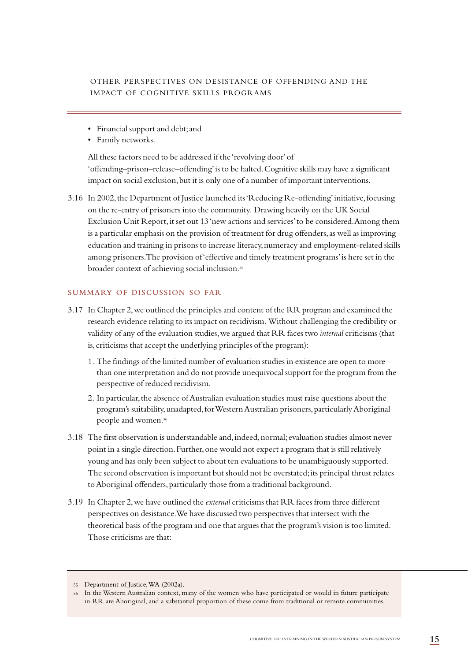- Financial support and debt; and
- Family networks.

All these factors need to be addressed if the 'revolving door'of 'offending–prison–release–offending'is to be halted.Cognitive skills may have a significant impact on social exclusion,but it is only one of a number of important interventions.

3.16 In 2002, the Department of Justice launched its 'Reducing Re-offending' initiative, focusing on the re-entry of prisoners into the community. Drawing heavily on the UK Social Exclusion Unit Report, it set out 13 'new actions and services' to be considered. Among them is a particular emphasis on the provision of treatment for drug offenders,as well as improving education and training in prisons to increase literacy,numeracy and employment-related skills among prisoners.The provision of 'effective and timely treatment programs'is here set in the broader context of achieving social inclusion.55

## **SUMMARY OF DISCUSSION SO FAR**

- 3.17 In Chapter 2,we outlined the principles and content of the RR program and examined the research evidence relating to its impact on recidivism. Without challenging the credibility or validity of any of the evaluation studies,we argued that RR faces two *internal* criticisms (that is,criticisms that accept the underlying principles of the program):
	- 1. The findings of the limited number of evaluation studies in existence are open to more than one interpretation and do not provide unequivocal support for the program from the perspective of reduced recidivism.
	- 2. In particular,the absence of Australian evaluation studies must raise questions about the program's suitability,unadapted,for Western Australian prisoners,particularly Aboriginal people and women.<sup>56</sup>
- 3.18 The first observation is understandable and,indeed,normal;evaluation studies almost never point in a single direction. Further, one would not expect a program that is still relatively young and has only been subject to about ten evaluations to be unambiguously supported. The second observation is important but should not be overstated;its principal thrust relates to Aboriginal offenders, particularly those from a traditional background.
- 3.19 In Chapter 2,we have outlined the *external* criticisms that RR faces from three different perspectives on desistance.We have discussed two perspectives that intersect with the theoretical basis of the program and one that argues that the program's vision is too limited. Those criticisms are that:

<sup>55</sup> Department of Justice,WA (2002a).

<sup>56</sup> In the Western Australian context, many of the women who have participated or would in future participate in RR are Aboriginal, and a substantial proportion of these come from traditional or remote communities.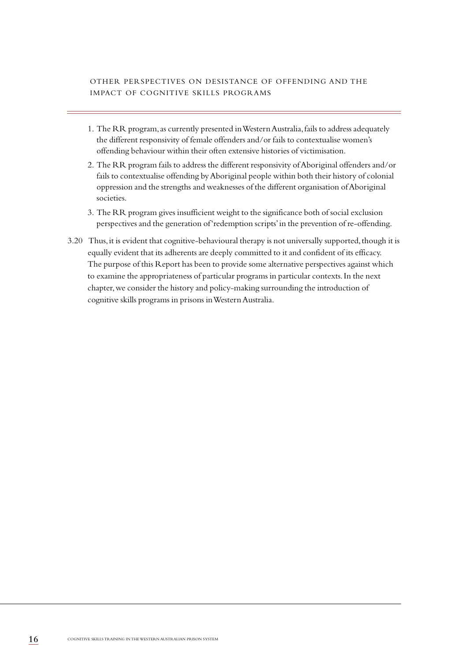- 1. The RR program, as currently presented in Western Australia, fails to address adequately the different responsivity of female offenders and/or fails to contextualise women's offending behaviour within their often extensive histories of victimisation.
- 2. The RR program fails to address the different responsivity of Aboriginal offenders and/or fails to contextualise offending by Aboriginal people within both their history of colonial oppression and the strengths and weaknesses of the different organisation of Aboriginal societies.
- 3. The RR program gives insufficient weight to the significance both of social exclusion perspectives and the generation of 'redemption scripts'in the prevention of re-offending.
- 3.20 Thus, it is evident that cognitive-behavioural therapy is not universally supported, though it is equally evident that its adherents are deeply committed to it and confident of its efficacy. The purpose of this Report has been to provide some alternative perspectives against which to examine the appropriateness of particular programs in particular contexts.In the next chapter,we consider the history and policy-making surrounding the introduction of cognitive skills programs in prisons in Western Australia.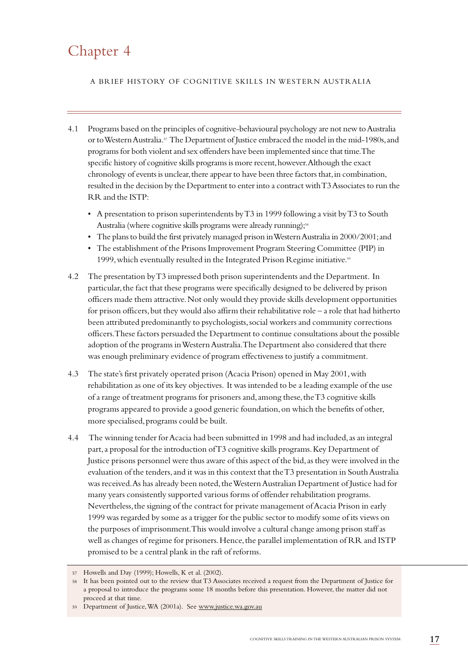## Chapter 4

A BRIEF HISTORY OF COGNITIVE SKILLS IN WESTERN AUSTRALIA

- 4.1 Programs based on the principles of cognitive-behavioural psychology are not new to Australia or to Western Australia.<sup>57</sup> The Department of Justice embraced the model in the mid-1980s, and programs for both violent and sex offenders have been implemented since that time.The specific history of cognitive skills programs is more recent, however. Although the exact chronology of events is unclear, there appear to have been three factors that, in combination, resulted in the decision by the Department to enter into a contract with T3 Associates to run the RR and the ISTP:
	- A presentation to prison superintendents by T3 in 1999 following a visit by T3 to South Australia (where cognitive skills programs were already running);<sup>58</sup>
	- The plans to build the first privately managed prison in Western Australia in 2000/2001;and
	- The establishment of the Prisons Improvement Program Steering Committee (PIP) in 1999, which eventually resulted in the Integrated Prison Regime initiative.<sup>59</sup>
- 4.2 The presentation by T3 impressed both prison superintendents and the Department. In particular,the fact that these programs were specifically designed to be delivered by prison officers made them attractive.Not only would they provide skills development opportunities for prison officers,but they would also affirm their rehabilitative role – a role that had hitherto been attributed predominantly to psychologists,social workers and community corrections officers.These factors persuaded the Department to continue consultations about the possible adoption of the programs in Western Australia.The Department also considered that there was enough preliminary evidence of program effectiveness to justify a commitment.
- 4.3 The state's first privately operated prison (Acacia Prison) opened in May 2001,with rehabilitation as one of its key objectives. It was intended to be a leading example of the use of a range of treatment programs for prisoners and,among these,the T3 cognitive skills programs appeared to provide a good generic foundation,on which the benefits of other, more specialised, programs could be built.
- 4.4 The winning tender for Acacia had been submitted in 1998 and had included,as an integral part,a proposal for the introduction of T3 cognitive skills programs.Key Department of Justice prisons personnel were thus aware of this aspect of the bid,as they were involved in the evaluation of the tenders,and it was in this context that the T3 presentation in South Australia was received. As has already been noted, the Western Australian Department of Justice had for many years consistently supported various forms of offender rehabilitation programs. Nevertheless, the signing of the contract for private management of Acacia Prison in early 1999 was regarded by some as a trigger for the public sector to modify some of its views on the purposes of imprisonment.This would involve a cultural change among prison staff as well as changes of regime for prisoners.Hence,the parallel implementation of RR and ISTP promised to be a central plank in the raft of reforms.

<sup>57</sup> Howells and Day (1999); Howells, K et al. (2002).

<sup>58</sup> It has been pointed out to the review that T3 Associates received a request from the Department of Justice for a proposal to introduce the programs some 18 months before this presentation. However, the matter did not proceed at that time.

<sup>59</sup> Department of Justice,WA (2001a). See www.justice.wa.gov.au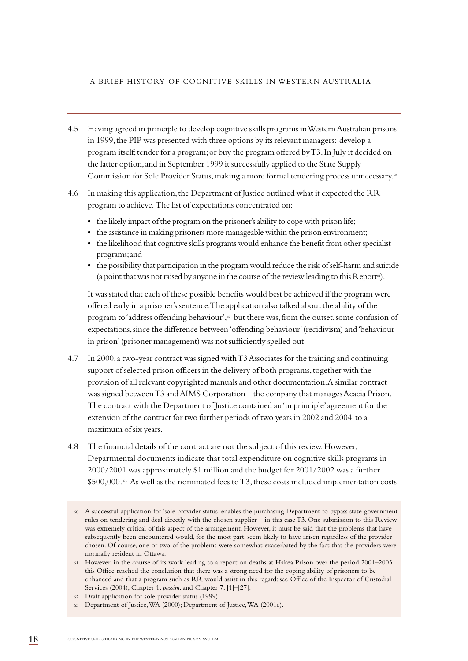### A BRIEF HISTORY OF COGNITIVE SKILLS IN WESTERN AUSTRALIA

- 4.5 Having agreed in principle to develop cognitive skills programs in Western Australian prisons in 1999,the PIP was presented with three options by its relevant managers: develop a program itself;tender for a program;or buy the program offered by T3.In July it decided on the latter option,and in September 1999 it successfully applied to the State Supply Commission for Sole Provider Status, making a more formal tendering process unnecessary.<sup>60</sup>
- 4.6 In making this application,the Department of Justice outlined what it expected the RR program to achieve. The list of expectations concentrated on:
	- the likely impact of the program on the prisoner's ability to cope with prison life;
	- the assistance in making prisoners more manageable within the prison environment;
	- the likelihood that cognitive skills programs would enhance the benefit from other specialist programs;and
	- the possibility that participation in the program would reduce the risk of self-harm and suicide (a point that was not raised by anyone in the course of the review leading to this  $Report<sup>61</sup>$ ).

It was stated that each of these possible benefits would best be achieved if the program were offered early in a prisoner's sentence.The application also talked about the ability of the program to 'address offending behaviour',<sup>@</sup> but there was, from the outset, some confusion of expectations,since the difference between 'offending behaviour'(recidivism) and 'behaviour in prison'(prisoner management) was not sufficiently spelled out.

- 4.7 In 2000,a two-year contract was signed with T3 Associates for the training and continuing support of selected prison officers in the delivery of both programs, together with the provision of all relevant copyrighted manuals and other documentation.A similar contract was signed between T3 and AIMS Corporation – the company that manages Acacia Prison. The contract with the Department of Justice contained an 'in principle'agreement for the extension of the contract for two further periods of two years in 2002 and 2004,to a maximum of six years.
- 4.8 The financial details of the contract are not the subject of this review.However, Departmental documents indicate that total expenditure on cognitive skills programs in 2000/2001 was approximately \$1 million and the budget for 2001/2002 was a further  $$500,000$ .  $\circ$  As well as the nominated fees to T3, these costs included implementation costs

- <sup>62</sup> Draft application for sole provider status (1999).
- <sup>63</sup> Department of Justice,WA (2000); Department of Justice,WA (2001c).

<sup>60</sup> A successful application for 'sole provider status' enables the purchasing Department to bypass state government rules on tendering and deal directly with the chosen supplier – in this case T3. One submission to this Review was extremely critical of this aspect of the arrangement. However, it must be said that the problems that have subsequently been encountered would, for the most part, seem likely to have arisen regardless of the provider chosen. Of course, one or two of the problems were somewhat exacerbated by the fact that the providers were normally resident in Ottawa.

<sup>61</sup> However, in the course of its work leading to a report on deaths at Hakea Prison over the period 2001–2003 this Office reached the conclusion that there was a strong need for the coping ability of prisoners to be enhanced and that a program such as RR would assist in this regard: see Office of the Inspector of Custodial Services (2004), Chapter 1, *passim*, and Chapter 7, [1]–[27].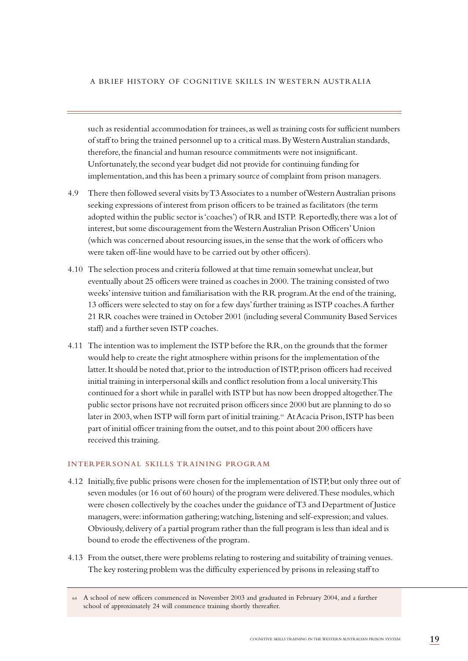### A BRIEF HISTORY OF COGNITIVE SKILLS IN WESTERN AUSTRALIA

such as residential accommodation for trainees, as well as training costs for sufficient numbers of staff to bring the trained personnel up to a critical mass.By Western Australian standards, therefore,the financial and human resource commitments were not insignificant. Unfortunately, the second year budget did not provide for continuing funding for implementation,and this has been a primary source of complaint from prison managers.

- 4.9 There then followed several visits by T3 Associates to a number of Western Australian prisons seeking expressions of interest from prison officers to be trained as facilitators (the term adopted within the public sector is 'coaches') of RR and ISTP. Reportedly,there was a lot of interest,but some discouragement from the Western Australian Prison Officers'Union (which was concerned about resourcing issues,in the sense that the work of officers who were taken off-line would have to be carried out by other officers).
- 4.10 The selection process and criteria followed at that time remain somewhat unclear,but eventually about 25 officers were trained as coaches in 2000. The training consisted of two weeks'intensive tuition and familiarisation with the RR program.At the end of the training, 13 officers were selected to stay on for a few days'further training as ISTP coaches.A further 21 RR coaches were trained in October 2001 (including several Community Based Services staff) and a further seven ISTP coaches.
- 4.11 The intention was to implement the ISTP before the RR,on the grounds that the former would help to create the right atmosphere within prisons for the implementation of the latter. It should be noted that, prior to the introduction of ISTP, prison officers had received initial training in interpersonal skills and conflict resolution from a local university.This continued for a short while in parallel with ISTP but has now been dropped altogether.The public sector prisons have not recruited prison officers since 2000 but are planning to do so later in 2003, when ISTP will form part of initial training.<sup>64</sup> At Acacia Prison, ISTP has been part of initial officer training from the outset, and to this point about 200 officers have received this training.

## **INTERPERSONAL SKILLS TRAINING PROGRAM**

- 4.12 Initially,five public prisons were chosen for the implementation of ISTP,but only three out of seven modules (or 16 out of 60 hours) of the program were delivered. These modules, which were chosen collectively by the coaches under the guidance of T3 and Department of Justice managers, were: information gathering; watching, listening and self-expression; and values. Obviously,delivery of a partial program rather than the full program is less than ideal and is bound to erode the effectiveness of the program.
- 4.13 From the outset, there were problems relating to rostering and suitability of training venues. The key rostering problem was the difficulty experienced by prisons in releasing staff to

<sup>64</sup> A school of new officers commenced in November 2003 and graduated in February 2004, and a further school of approximately 24 will commence training shortly thereafter.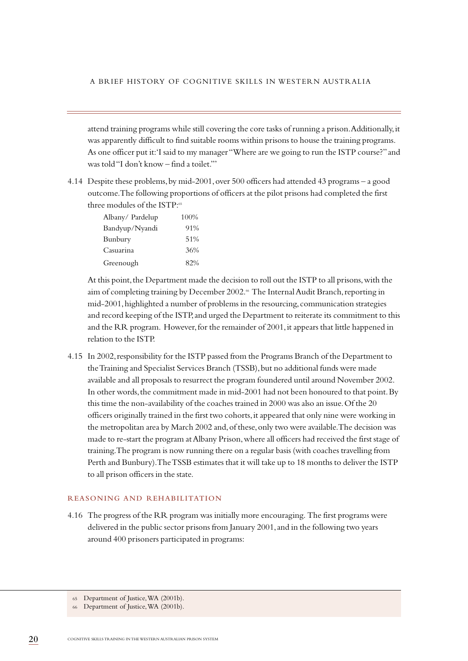attend training programs while still covering the core tasks of running a prison. Additionally, it was apparently difficult to find suitable rooms within prisons to house the training programs. As one officer put it:'I said to my manager "Where are we going to run the ISTP course?"and was told "I don't know – find a toilet."'

4.14 Despite these problems,by mid-2001,over 500 officers had attended 43 programs – a good outcome.The following proportions of officers at the pilot prisons had completed the first three modules of the ISTP:<sup>65</sup>

| Albany/Pardelup | 100% |
|-----------------|------|
| Bandyup/Nyandi  | 91%  |
| Bunbury         | 51%  |
| Casuarina       | 36%  |
| Greenough       | 82%  |

At this point, the Department made the decision to roll out the ISTP to all prisons, with the aim of completing training by December 2002.<sup>66</sup> The Internal Audit Branch, reporting in mid-2001,highlighted a number of problems in the resourcing,communication strategies and record keeping of the ISTP,and urged the Department to reiterate its commitment to this and the RR program. However, for the remainder of 2001, it appears that little happened in relation to the ISTP.

4.15 In 2002, responsibility for the ISTP passed from the Programs Branch of the Department to the Training and Specialist Services Branch (TSSB), but no additional funds were made available and all proposals to resurrect the program foundered until around November 2002. In other words, the commitment made in mid-2001 had not been honoured to that point. By this time the non-availability of the coaches trained in 2000 was also an issue.Of the 20 officers originally trained in the first two cohorts, it appeared that only nine were working in the metropolitan area by March 2002 and, of these, only two were available. The decision was made to re-start the program at Albany Prison,where all officers had received the first stage of training.The program is now running there on a regular basis (with coaches travelling from Perth and Bunbury).The TSSB estimates that it will take up to 18 months to deliver the ISTP to all prison officers in the state.

### **REASONING AND REHABILITATION**

- 4.16 The progress of the RR program was initially more encouraging. The first programs were delivered in the public sector prisons from January 2001,and in the following two years around 400 prisoners participated in programs:
	- <sup>65</sup> Department of Justice,WA (2001b).

<sup>66</sup> Department of Justice,WA (2001b).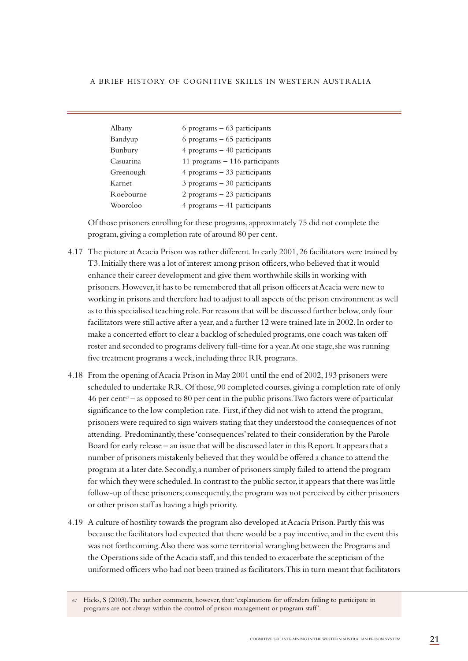| Albany    | $6$ programs $-63$ participants |
|-----------|---------------------------------|
| Bandyup   | $6$ programs $-65$ participants |
| Bunbury   | $4$ programs $-40$ participants |
| Casuarina | 11 programs $-116$ participants |
| Greenough | $4$ programs $-33$ participants |
| Karnet    | $3$ programs $-30$ participants |
| Roebourne | $2$ programs $-23$ participants |
| Wooroloo  | 4 programs - 41 participants    |
|           |                                 |

Of those prisoners enrolling for these programs,approximately 75 did not complete the program,giving a completion rate of around 80 per cent.

- 4.17 The picture at Acacia Prison was rather different.In early 2001,26 facilitators were trained by T3.Initially there was a lot of interest among prison officers,who believed that it would enhance their career development and give them worthwhile skills in working with prisoners.However,it has to be remembered that all prison officers at Acacia were new to working in prisons and therefore had to adjust to all aspects of the prison environment as well as to this specialised teaching role.For reasons that will be discussed further below,only four facilitators were still active after a year,and a further 12 were trained late in 2002.In order to make a concerted effort to clear a backlog of scheduled programs, one coach was taken off roster and seconded to programs delivery full-time for a year. At one stage, she was running five treatment programs a week, including three RR programs.
- 4.18 From the opening of Acacia Prison in May 2001 until the end of 2002,193 prisoners were scheduled to undertake RR. Of those, 90 completed courses, giving a completion rate of only 46 per cent<sup> $\sigma$ </sup> – as opposed to 80 per cent in the public prisons. Two factors were of particular significance to the low completion rate. First, if they did not wish to attend the program, prisoners were required to sign waivers stating that they understood the consequences of not attending. Predominantly,these 'consequences'related to their consideration by the Parole Board for early release – an issue that will be discussed later in this Report.It appears that a number of prisoners mistakenly believed that they would be offered a chance to attend the program at a later date.Secondly,a number of prisoners simply failed to attend the program for which they were scheduled. In contrast to the public sector, it appears that there was little follow-up of these prisoners; consequently, the program was not perceived by either prisoners or other prison staff as having a high priority.
- 4.19 A culture of hostility towards the program also developed at Acacia Prison. Partly this was because the facilitators had expected that there would be a pay incentive,and in the event this was not forthcoming.Also there was some territorial wrangling between the Programs and the Operations side of the Acacia staff,and this tended to exacerbate the scepticism of the uniformed officers who had not been trained as facilitators.This in turn meant that facilitators

<sup>67</sup> Hicks, S (2003).The author comments, however, that:'explanations for offenders failing to participate in programs are not always within the control of prison management or program staff'.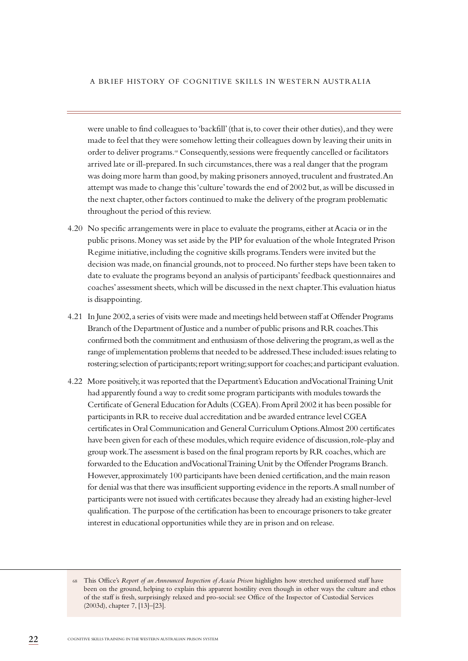#### A BRIEF HISTORY OF COGNITIVE SKILLS IN WESTERN AUSTRALIA

were unable to find colleagues to 'backfill' (that is, to cover their other duties), and they were made to feel that they were somehow letting their colleagues down by leaving their units in order to deliver programs.<sup>68</sup> Consequently, sessions were frequently cancelled or facilitators arrived late or ill-prepared.In such circumstances,there was a real danger that the program was doing more harm than good, by making prisoners annoyed, truculent and frustrated.An attempt was made to change this 'culture' towards the end of 2002 but, as will be discussed in the next chapter,other factors continued to make the delivery of the program problematic throughout the period of this review.

- 4.20 No specific arrangements were in place to evaluate the programs,either at Acacia or in the public prisons.Money was set aside by the PIP for evaluation of the whole Integrated Prison Regime initiative, including the cognitive skills programs. Tenders were invited but the decision was made,on financial grounds,not to proceed.No further steps have been taken to date to evaluate the programs beyond an analysis of participants'feedback questionnaires and coaches'assessment sheets,which will be discussed in the next chapter.This evaluation hiatus is disappointing.
- 4.21 In June 2002,a series of visits were made and meetings held between staff at Offender Programs Branch of the Department of Justice and a number of public prisons and RR coaches.This confirmed both the commitment and enthusiasm of those delivering the program,as well as the range of implementation problems that needed to be addressed. These included: issues relating to rostering;selection of participants;report writing;support for coaches;and participant evaluation.
- 4.22 More positively,it was reported that the Department's Education and Vocational Training Unit had apparently found a way to credit some program participants with modules towards the Certificate of General Education for Adults (CGEA).From April 2002 it has been possible for participants in RR to receive dual accreditation and be awarded entrance level CGEA certificates in Oral Communication and General Curriculum Options.Almost 200 certificates have been given for each of these modules, which require evidence of discussion, role-play and group work.The assessment is based on the final program reports by RR coaches,which are forwarded to the Education and Vocational Training Unit by the Offender Programs Branch. However,approximately 100 participants have been denied certification,and the main reason for denial was that there was insufficient supporting evidence in the reports.A small number of participants were not issued with certificates because they already had an existing higher-level qualification. The purpose of the certification has been to encourage prisoners to take greater interest in educational opportunities while they are in prison and on release.

<sup>68</sup> This Office's *Report of an Announced Inspection of Acacia Prison* highlights how stretched uniformed staff have been on the ground, helping to explain this apparent hostility even though in other ways the culture and ethos of the staff is fresh, surprisingly relaxed and pro-social: see Office of the Inspector of Custodial Services (2003d), chapter 7, [13]–[23].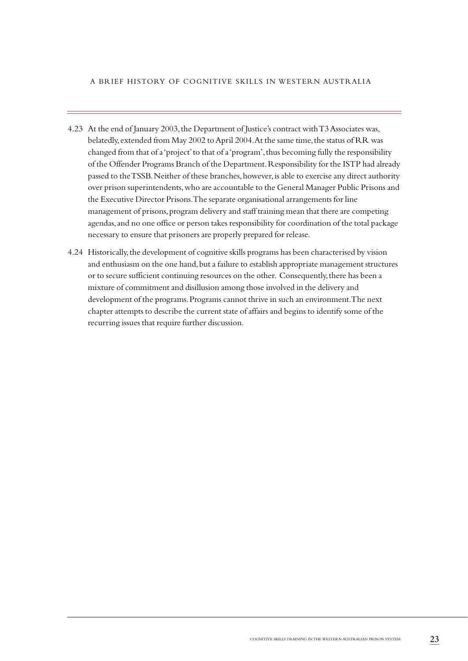### A BRIEF HISTORY OF COGNITIVE SKILLS IN WESTERN AUSTRALIA

- 4.23 At the end of January 2003, the Department of Justice's contract with T3 Associates was, belatedly, extended from May 2002 to April 2004. At the same time, the status of RR was changed from that of a 'project'to that of a 'program',thus becoming fully the responsibility of the Offender Programs Branch of the Department.Responsibility for the ISTP had already passed to the TSSB.Neither of these branches,however,is able to exercise any direct authority over prison superintendents,who are accountable to the General Manager Public Prisons and the Executive Director Prisons.The separate organisational arrangements for line management of prisons, program delivery and staff training mean that there are competing agendas,and no one office or person takes responsibility for coordination of the total package necessary to ensure that prisoners are properly prepared for release.
- 4.24 Historically,the development of cognitive skills programs has been characterised by vision and enthusiasm on the one hand, but a failure to establish appropriate management structures or to secure sufficient continuing resources on the other. Consequently,there has been a mixture of commitment and disillusion among those involved in the delivery and development of the programs.Programs cannot thrive in such an environment.The next chapter attempts to describe the current state of affairs and begins to identify some of the recurring issues that require further discussion.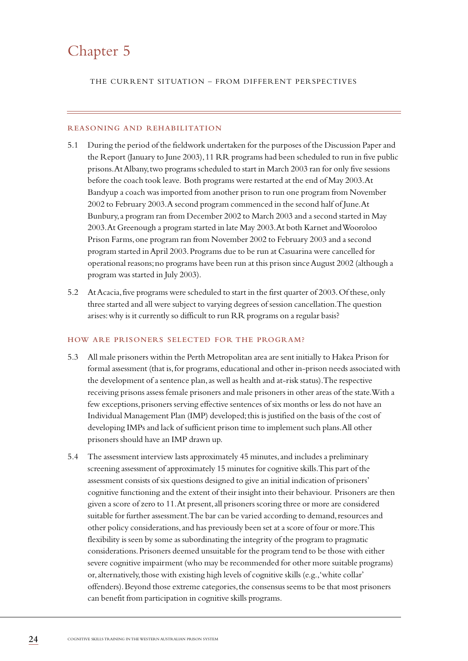## Chapter 5

THE CURRENT SITUATION – FROM DIFFERENT PERSPECTIVES

#### **REASONING AND REHABILITATION**

- 5.1 During the period of the fieldwork undertaken for the purposes of the Discussion Paper and the Report (January to June 2003),11 RR programs had been scheduled to run in five public prisons.At Albany,two programs scheduled to start in March 2003 ran for only five sessions before the coach took leave. Both programs were restarted at the end of May 2003.At Bandyup a coach was imported from another prison to run one program from November 2002 to February 2003.A second program commenced in the second half of June.At Bunbury,a program ran from December 2002 to March 2003 and a second started in May 2003.At Greenough a program started in late May 2003.At both Karnet and Wooroloo Prison Farms,one program ran from November 2002 to February 2003 and a second program started in April 2003.Programs due to be run at Casuarina were cancelled for operational reasons;no programs have been run at this prison since August 2002 (although a program was started in July 2003).
- 5.2 At Acacia, five programs were scheduled to start in the first quarter of 2003. Of these, only three started and all were subject to varying degrees of session cancellation.The question arises:why is it currently so difficult to run RR programs on a regular basis?

## **HOW ARE PRISONERS SELECTED FOR THE PROGRAM?**

- 5.3 All male prisoners within the Perth Metropolitan area are sent initially to Hakea Prison for formal assessment (that is,for programs,educational and other in-prison needs associated with the development of a sentence plan,as well as health and at-risk status).The respective receiving prisons assess female prisoners and male prisoners in other areas of the state.With a few exceptions,prisoners serving effective sentences of six months or less do not have an Individual Management Plan (IMP) developed;this is justified on the basis of the cost of developing IMPs and lack of sufficient prison time to implement such plans.All other prisoners should have an IMP drawn up.
- 5.4 The assessment interview lasts approximately 45 minutes,and includes a preliminary screening assessment of approximately 15 minutes for cognitive skills.This part of the assessment consists of six questions designed to give an initial indication of prisoners' cognitive functioning and the extent of their insight into their behaviour. Prisoners are then given a score of zero to 11.At present,all prisoners scoring three or more are considered suitable for further assessment. The bar can be varied according to demand, resources and other policy considerations,and has previously been set at a score of four or more.This flexibility is seen by some as subordinating the integrity of the program to pragmatic considerations.Prisoners deemed unsuitable for the program tend to be those with either severe cognitive impairment (who may be recommended for other more suitable programs) or, alternatively, those with existing high levels of cognitive skills (e.g., 'white collar' offenders).Beyond those extreme categories,the consensus seems to be that most prisoners can benefit from participation in cognitive skills programs.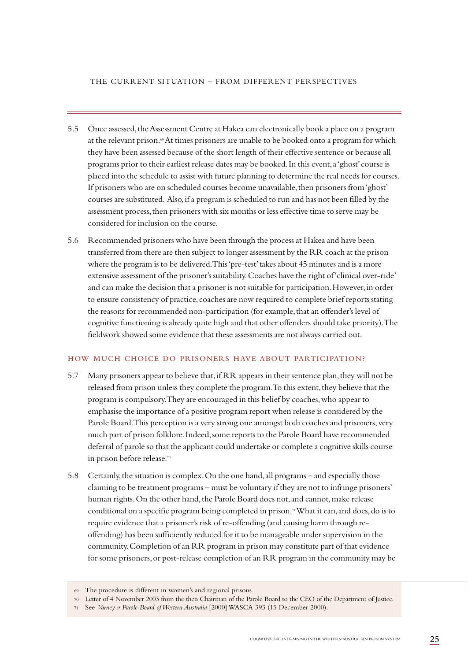#### THE CURRENT SITUATION – FROM DIFFERENT PERSPECTIVES

- 5.5 Once assessed,the Assessment Centre at Hakea can electronically book a place on a program at the relevant prison.<sup>®</sup> At times prisoners are unable to be booked onto a program for which they have been assessed because of the short length of their effective sentence or because all programs prior to their earliest release dates may be booked.In this event,a 'ghost' course is placed into the schedule to assist with future planning to determine the real needs for courses. If prisoners who are on scheduled courses become unavailable,then prisoners from 'ghost' courses are substituted. Also,if a program is scheduled to run and has not been filled by the assessment process, then prisoners with six months or less effective time to serve may be considered for inclusion on the course.
- 5.6 Recommended prisoners who have been through the process at Hakea and have been transferred from there are then subject to longer assessment by the RR coach at the prison where the program is to be delivered. This 'pre-test' takes about 45 minutes and is a more extensive assessment of the prisoner's suitability.Coaches have the right of 'clinical over-ride' and can make the decision that a prisoner is not suitable for participation.However,in order to ensure consistency of practice, coaches are now required to complete brief reports stating the reasons for recommended non-participation (for example, that an offender's level of cognitive functioning is already quite high and that other offenders should take priority).The fieldwork showed some evidence that these assessments are not always carried out.

## **HOW MUCH CHOICE DO PRISONERS HAVE ABOUT PARTICIPATION?**

- 5.7 Many prisoners appear to believe that, if RR appears in their sentence plan, they will not be released from prison unless they complete the program.To this extent,they believe that the program is compulsory.They are encouraged in this belief by coaches,who appear to emphasise the importance of a positive program report when release is considered by the Parole Board. This perception is a very strong one amongst both coaches and prisoners, very much part of prison folklore. Indeed, some reports to the Parole Board have recommended deferral of parole so that the applicant could undertake or complete a cognitive skills course in prison before release.<sup>70</sup>
- 5.8 Certainly,the situation is complex.On the one hand,all programs and especially those claiming to be treatment programs – must be voluntary if they are not to infringe prisoners' human rights. On the other hand, the Parole Board does not, and cannot, make release conditional on a specific program being completed in prison.<sup>71</sup>What it can, and does, do is to require evidence that a prisoner's risk of re-offending (and causing harm through reoffending) has been sufficiently reduced for it to be manageable under supervision in the community.Completion of an RR program in prison may constitute part of that evidence for some prisoners,or post-release completion of an RR program in the community may be

<sup>69</sup> The procedure is different in women's and regional prisons.

<sup>70</sup> Letter of 4 November 2003 from the then Chairman of the Parole Board to the CEO of the Department of Justice.

<sup>71</sup> See *Varney v Parole Board of Western Australia* [2000] WASCA 393 (15 December 2000).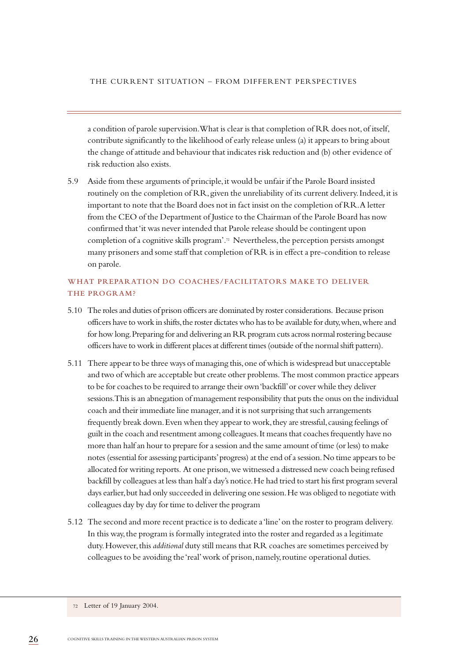a condition of parole supervision. What is clear is that completion of RR does not, of itself, contribute significantly to the likelihood of early release unless (a) it appears to bring about the change of attitude and behaviour that indicates risk reduction and (b) other evidence of risk reduction also exists.

5.9 Aside from these arguments of principle,it would be unfair if the Parole Board insisted routinely on the completion of RR, given the unreliability of its current delivery. Indeed, it is important to note that the Board does not in fact insist on the completion of RR.A letter from the CEO of the Department of Justice to the Chairman of the Parole Board has now confirmed that 'it was never intended that Parole release should be contingent upon completion of a cognitive skills program'. <sup>72</sup> Nevertheless,the perception persists amongst many prisoners and some staff that completion of RR is in effect a pre-condition to release on parole.

## **WHAT PREPARATION DO COACHES/FACILITATORS MAKE TO DELIVER THE PROGRAM?**

- 5.10 The roles and duties of prison officers are dominated by roster considerations. Because prison officers have to work in shifts, the roster dictates who has to be available for duty, when, where and for how long.Preparing for and delivering an RR program cuts across normal rostering because officers have to work in different places at different times (outside of the normal shift pattern).
- 5.11 There appear to be three ways of managing this,one of which is widespread but unacceptable and two of which are acceptable but create other problems. The most common practice appears to be for coaches to be required to arrange their own 'backfill'or cover while they deliver sessions.This is an abnegation of management responsibility that puts the onus on the individual coach and their immediate line manager,and it is not surprising that such arrangements frequently break down.Even when they appear to work,they are stressful,causing feelings of guilt in the coach and resentment among colleagues.It means that coaches frequently have no more than half an hour to prepare for a session and the same amount of time (or less) to make notes (essential for assessing participants'progress) at the end of a session.No time appears to be allocated for writing reports. At one prison,we witnessed a distressed new coach being refused backfill by colleagues at less than half a day's notice.He had tried to start his first program several days earlier, but had only succeeded in delivering one session. He was obliged to negotiate with colleagues day by day for time to deliver the program
- 5.12 The second and more recent practice is to dedicate a 'line'on the roster to program delivery. In this way,the program is formally integrated into the roster and regarded as a legitimate duty.However,this *additional* duty still means that RR coaches are sometimes perceived by colleagues to be avoiding the 'real' work of prison, namely, routine operational duties.

<sup>72</sup> Letter of 19 January 2004.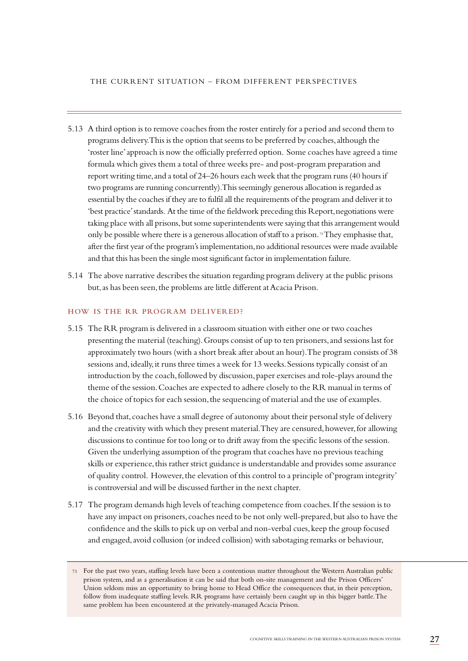- 5.13 A third option is to remove coaches from the roster entirely for a period and second them to programs delivery. This is the option that seems to be preferred by coaches, although the 'roster line'approach is now the officially preferred option. Some coaches have agreed a time formula which gives them a total of three weeks pre- and post-program preparation and report writing time,and a total of 24–26 hours each week that the program runs (40 hours if two programs are running concurrently).This seemingly generous allocation is regarded as essential by the coaches if they are to fulfil all the requirements of the program and deliver it to 'best practice'standards. At the time of the fieldwork preceding this Report,negotiations were taking place with all prisons, but some superintendents were saying that this arrangement would only be possible where there is a generous allocation of staff to a prison.<sup> $\pi$ </sup>They emphasise that, after the first year of the program's implementation, no additional resources were made available and that this has been the single most significant factor in implementation failure.
- 5.14 The above narrative describes the situation regarding program delivery at the public prisons but, as has been seen, the problems are little different at Acacia Prison.

## **HOW IS THE RR PROGRAM DELIVERED?**

- 5.15 The RR program is delivered in a classroom situation with either one or two coaches presenting the material (teaching).Groups consist of up to ten prisoners,and sessions last for approximately two hours (with a short break after about an hour).The program consists of 38 sessions and, ideally, it runs three times a week for 13 weeks. Sessions typically consist of an introduction by the coach, followed by discussion, paper exercises and role-plays around the theme of the session.Coaches are expected to adhere closely to the RR manual in terms of the choice of topics for each session, the sequencing of material and the use of examples.
- 5.16 Beyond that,coaches have a small degree of autonomy about their personal style of delivery and the creativity with which they present material.They are censured,however,for allowing discussions to continue for too long or to drift away from the specific lessons of the session. Given the underlying assumption of the program that coaches have no previous teaching skills or experience,this rather strict guidance is understandable and provides some assurance of quality control. However, the elevation of this control to a principle of 'program integrity' is controversial and will be discussed further in the next chapter.
- 5.17 The program demands high levels of teaching competence from coaches.If the session is to have any impact on prisoners, coaches need to be not only well-prepared, but also to have the confidence and the skills to pick up on verbal and non-verbal cues,keep the group focused and engaged,avoid collusion (or indeed collision) with sabotaging remarks or behaviour,

<sup>73</sup> For the past two years, staffing levels have been a contentious matter throughout the Western Australian public prison system, and as a generalisation it can be said that both on-site management and the Prison Officers' Union seldom miss an opportunity to bring home to Head Office the consequences that, in their perception, follow from inadequate staffing levels. RR programs have certainly been caught up in this bigger battle.The same problem has been encountered at the privately-managed Acacia Prison.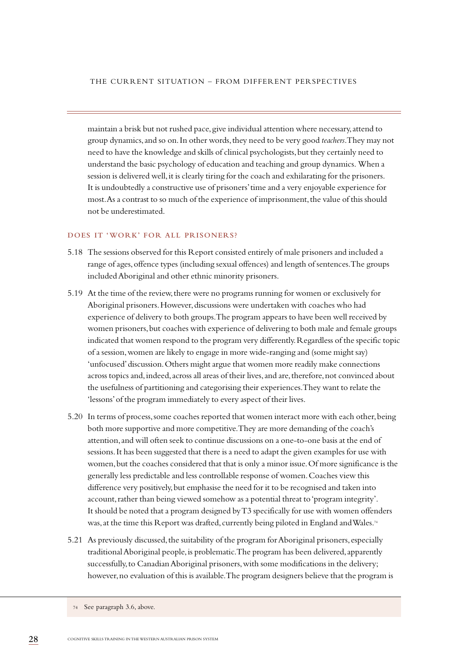maintain a brisk but not rushed pace, give individual attention where necessary, attend to group dynamics,and so on.In other words,they need to be very good *teachers*.They may not need to have the knowledge and skills of clinical psychologists,but they certainly need to understand the basic psychology of education and teaching and group dynamics. When a session is delivered well, it is clearly tiring for the coach and exhilarating for the prisoners. It is undoubtedly a constructive use of prisoners'time and a very enjoyable experience for most. As a contrast to so much of the experience of imprisonment, the value of this should not be underestimated.

### **DOES IT 'WORK' FOR ALL PRISONERS?**

- 5.18 The sessions observed for this Report consisted entirely of male prisoners and included a range of ages, offence types (including sexual offences) and length of sentences. The groups included Aboriginal and other ethnic minority prisoners.
- 5.19 At the time of the review,there were no programs running for women or exclusively for Aboriginal prisoners. However, discussions were undertaken with coaches who had experience of delivery to both groups.The program appears to have been well received by women prisoners,but coaches with experience of delivering to both male and female groups indicated that women respond to the program very differently.Regardless of the specific topic of a session,women are likely to engage in more wide-ranging and (some might say) 'unfocused'discussion.Others might argue that women more readily make connections across topics and, indeed, across all areas of their lives, and are, therefore, not convinced about the usefulness of partitioning and categorising their experiences.They want to relate the 'lessons'of the program immediately to every aspect of their lives.
- 5.20 In terms of process,some coaches reported that women interact more with each other,being both more supportive and more competitive.They are more demanding of the coach's attention,and will often seek to continue discussions on a one-to-one basis at the end of sessions.It has been suggested that there is a need to adapt the given examples for use with women,but the coaches considered that that is only a minor issue.Of more significance is the generally less predictable and less controllable response of women.Coaches view this difference very positively, but emphasise the need for it to be recognised and taken into account, rather than being viewed somehow as a potential threat to 'program integrity'. It should be noted that a program designed by T3 specifically for use with women offenders was, at the time this Report was drafted, currently being piloted in England and Wales.<sup>74</sup>
- 5.21 As previously discussed, the suitability of the program for Aboriginal prisoners, especially traditional Aboriginal people, is problematic. The program has been delivered, apparently successfully, to Canadian Aboriginal prisoners, with some modifications in the delivery; however,no evaluation of this is available.The program designers believe that the program is

<sup>74</sup> See paragraph 3.6, above.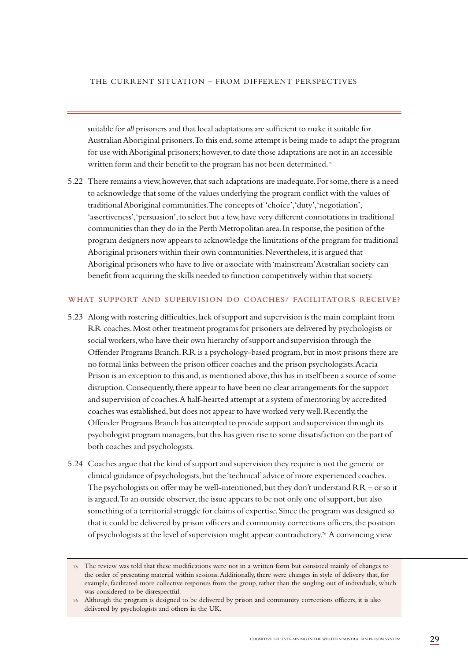suitable for *all* prisoners and that local adaptations are sufficient to make it suitable for Australian Aboriginal prisoners.To this end,some attempt is being made to adapt the program for use with Aboriginal prisoners;however,to date those adaptations are not in an accessible written form and their benefit to the program has not been determined.<sup>75</sup>

5.22 There remains a view,however,that such adaptations are inadequate.For some,there is a need to acknowledge that some of the values underlying the program conflict with the values of traditional Aboriginal communities.The concepts of 'choice','duty','negotiation', 'assertiveness','persuasion',to select but a few,have very different connotations in traditional communities than they do in the Perth Metropolitan area. In response, the position of the program designers now appears to acknowledge the limitations of the program for traditional Aboriginal prisoners within their own communities.Nevertheless,it is argued that Aboriginal prisoners who have to live or associate with 'mainstream'Australian society can benefit from acquiring the skills needed to function competitively within that society.

#### **WHAT SUPPORT AND SUPERVISION DO COACHES/ FACILITATORS RECEIVE?**

- 5.23 Along with rostering difficulties,lack of support and supervision is the main complaint from RR coaches.Most other treatment programs for prisoners are delivered by psychologists or social workers,who have their own hierarchy of support and supervision through the Offender Programs Branch.RR is a psychology-based program,but in most prisons there are no formal links between the prison officer coaches and the prison psychologists.Acacia Prison is an exception to this and, as mentioned above, this has in itself been a source of some disruption.Consequently,there appear to have been no clear arrangements for the support and supervision of coaches.A half-hearted attempt at a system of mentoring by accredited coaches was established, but does not appear to have worked very well. Recently, the Offender Programs Branch has attempted to provide support and supervision through its psychologist program managers,but this has given rise to some dissatisfaction on the part of both coaches and psychologists.
- 5.24 Coaches argue that the kind of support and supervision they require is not the generic or clinical guidance of psychologists,but the 'technical'advice of more experienced coaches. The psychologists on offer may be well-intentioned, but they don't understand  $RR - or so$  it is argued. To an outside observer, the issue appears to be not only one of support, but also something of a territorial struggle for claims of expertise.Since the program was designed so that it could be delivered by prison officers and community corrections officers, the position of psychologists at the level of supervision might appear contradictory.76 A convincing view

<sup>75</sup> The review was told that these modifications were not in a written form but consisted mainly of changes to the order of presenting material within sessions.Additionally, there were changes in style of delivery that, for example, facilitated more collective responses from the group, rather than the singling out of individuals, which was considered to be disrespectful.

<sup>76</sup> Although the program is designed to be delivered by prison and community corrections officers, it is also delivered by psychologists and others in the UK.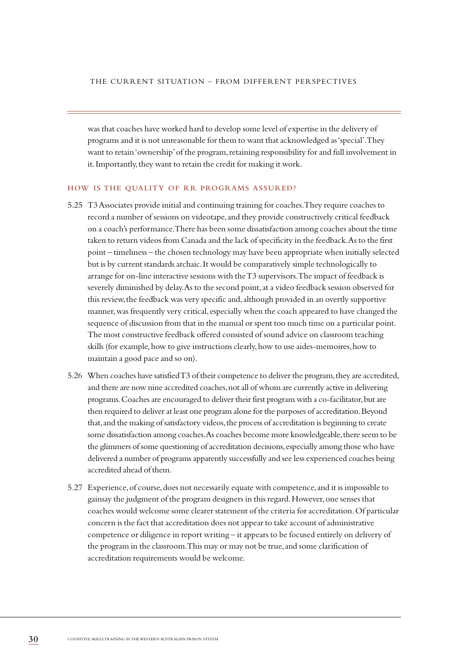was that coaches have worked hard to develop some level of expertise in the delivery of programs and it is not unreasonable for them to want that acknowledged as 'special'.They want to retain 'ownership' of the program, retaining responsibility for and full involvement in it. Importantly, they want to retain the credit for making it work.

#### **HOW IS THE QUALITY OF RR PROGRAMS ASSURED?**

- 5.25 T3 Associates provide initial and continuing training for coaches.They require coaches to record a number of sessions on videotape, and they provide constructively critical feedback on a coach's performance.There has been some dissatisfaction among coaches about the time taken to return videos from Canada and the lack of specificity in the feedback.As to the first point – timeliness – the chosen technology may have been appropriate when initially selected but is by current standards archaic.It would be comparatively simple technologically to arrange for on-line interactive sessions with the T3 supervisors.The impact of feedback is severely diminished by delay. As to the second point, at a video feedback session observed for this review, the feedback was very specific and, although provided in an overtly supportive manner, was frequently very critical, especially when the coach appeared to have changed the sequence of discussion from that in the manual or spent too much time on a particular point. The most constructive feedback offered consisted of sound advice on classroom teaching skills (for example, how to give instructions clearly, how to use aides-memoires, how to maintain a good pace and so on).
- 5.26 When coaches have satisfied T3 of their competence to deliver the program,they are accredited, and there are now nine accredited coaches, not all of whom are currently active in delivering programs.Coaches are encouraged to deliver their first program with a co-facilitator,but are then required to deliver at least one program alone for the purposes of accreditation.Beyond that, and the making of satisfactory videos, the process of accreditation is beginning to create some dissatisfaction among coaches. As coaches become more knowledgeable, there seem to be the glimmers of some questioning of accreditation decisions, especially among those who have delivered a number of programs apparently successfully and see less experienced coaches being accredited ahead of them.
- 5.27 Experience,of course,does not necessarily equate with competence,and it is impossible to gainsay the judgment of the program designers in this regard.However,one senses that coaches would welcome some clearer statement of the criteria for accreditation.Of particular concern is the fact that accreditation does not appear to take account of administrative competence or diligence in report writing – it appears to be focused entirely on delivery of the program in the classroom. This may or may not be true, and some clarification of accreditation requirements would be welcome.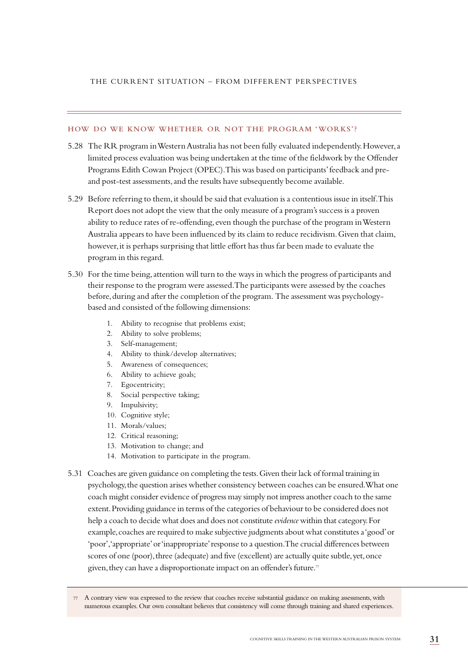### **HOW DO WE KNOW WHETHER OR NOT THE PROGRAM 'WORKS'?**

- 5.28 The RR program in Western Australia has not been fully evaluated independently.However,a limited process evaluation was being undertaken at the time of the fieldwork by the Offender Programs Edith Cowan Project (OPEC).This was based on participants'feedback and preand post-test assessments,and the results have subsequently become available.
- 5.29 Before referring to them,it should be said that evaluation is a contentious issue in itself.This Report does not adopt the view that the only measure of a program's success is a proven ability to reduce rates of re-offending, even though the purchase of the program in Western Australia appears to have been influenced by its claim to reduce recidivism.Given that claim, however, it is perhaps surprising that little effort has thus far been made to evaluate the program in this regard.
- 5.30 For the time being,attention will turn to the ways in which the progress of participants and their response to the program were assessed.The participants were assessed by the coaches before,during and after the completion of the program. The assessment was psychologybased and consisted of the following dimensions:
	- 1. Ability to recognise that problems exist;
	- 2. Ability to solve problems;
	- 3. Self-management;
	- 4. Ability to think/develop alternatives;
	- 5. Awareness of consequences;
	- 6. Ability to achieve goals;
	- 7. Egocentricity;
	- 8. Social perspective taking;
	- 9. Impulsivity;
	- 10. Cognitive style;
	- 11. Morals/values;
	- 12. Critical reasoning;
	- 13. Motivation to change; and
	- 14. Motivation to participate in the program.
- 5.31 Coaches are given guidance on completing the tests.Given their lack of formal training in psychology,the question arises whether consistency between coaches can be ensured.What one coach might consider evidence of progress may simply not impress another coach to the same extent.Providing guidance in terms of the categories of behaviour to be considered does not help a coach to decide what does and does not constitute *evidence* within that category.For example, coaches are required to make subjective judgments about what constitutes a 'good' or 'poor', 'appropriate' or 'inappropriate' response to a question. The crucial differences between scores of one (poor), three (adequate) and five (excellent) are actually quite subtle, yet, once given, they can have a disproportionate impact on an offender's future. $7$

<sup>77</sup> A contrary view was expressed to the review that coaches receive substantial guidance on making assessments, with numerous examples. Our own consultant believes that consistency will come through training and shared experiences.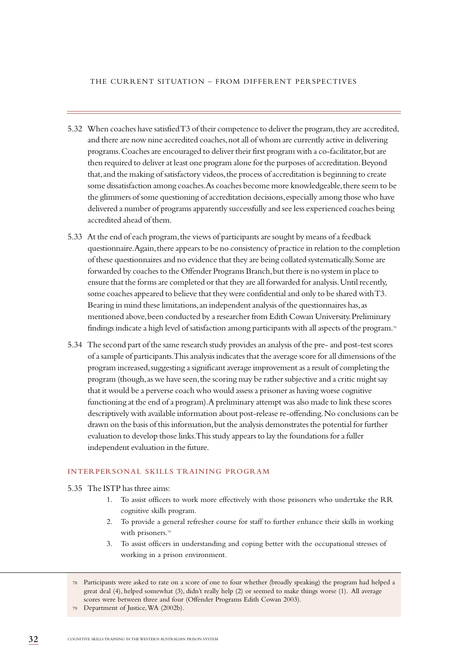### THE CURRENT SITUATION – FROM DIFFERENT PERSPECTIVES

- 5.32 When coaches have satisfied T3 of their competence to deliver the program,they are accredited, and there are now nine accredited coaches, not all of whom are currently active in delivering programs.Coaches are encouraged to deliver their first program with a co-facilitator,but are then required to deliver at least one program alone for the purposes of accreditation.Beyond that, and the making of satisfactory videos, the process of accreditation is beginning to create some dissatisfaction among coaches. As coaches become more knowledgeable, there seem to be the glimmers of some questioning of accreditation decisions, especially among those who have delivered a number of programs apparently successfully and see less experienced coaches being accredited ahead of them.
- 5.33 At the end of each program, the views of participants are sought by means of a feedback questionnaire.Again,there appears to be no consistency of practice in relation to the completion of these questionnaires and no evidence that they are being collated systematically.Some are forwarded by coaches to the Offender Programs Branch, but there is no system in place to ensure that the forms are completed or that they are all forwarded for analysis.Until recently, some coaches appeared to believe that they were confidential and only to be shared with T3. Bearing in mind these limitations, an independent analysis of the questionnaires has, as mentioned above,been conducted by a researcher from Edith Cowan University.Preliminary findings indicate a high level of satisfaction among participants with all aspects of the program.<sup>78</sup>
- 5.34 The second part of the same research study provides an analysis of the pre- and post-test scores of a sample of participants.This analysis indicates that the average score for all dimensions of the program increased,suggesting a significant average improvement as a result of completing the program (though, as we have seen, the scoring may be rather subjective and a critic might say that it would be a perverse coach who would assess a prisoner as having worse cognitive functioning at the end of a program).A preliminary attempt was also made to link these scores descriptively with available information about post-release re-offending.No conclusions can be drawn on the basis of this information,but the analysis demonstrates the potential for further evaluation to develop those links.This study appears to lay the foundations for a fuller independent evaluation in the future.

## **INTERPERSONAL SKILLS TRAINING PROGRAM**

- 5.35 The ISTP has three aims:
	- 1. To assist officers to work more effectively with those prisoners who undertake the RR cognitive skills program.
	- 2. To provide a general refresher course for staff to further enhance their skills in working with prisoners.<sup>79</sup>
	- 3. To assist officers in understanding and coping better with the occupational stresses of working in a prison environment.

<sup>78</sup> Participants were asked to rate on a score of one to four whether (broadly speaking) the program had helped a great deal (4), helped somewhat (3), didn't really help (2) or seemed to make things worse (1). All average scores were between three and four (Offender Programs Edith Cowan 2003).

<sup>79</sup> Department of Justice,WA (2002b).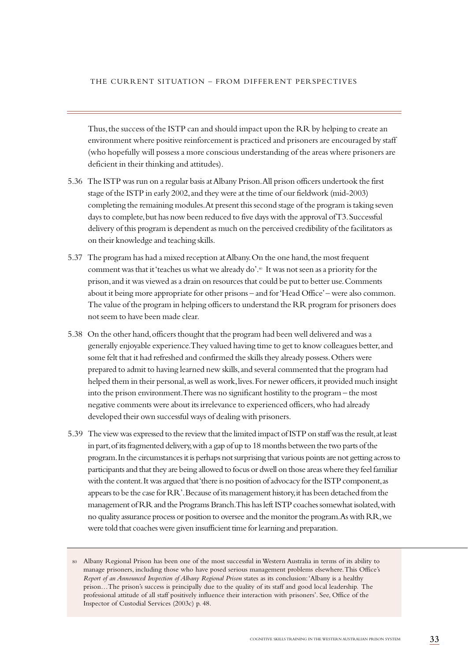Thus,the success of the ISTP can and should impact upon the RR by helping to create an environment where positive reinforcement is practiced and prisoners are encouraged by staff (who hopefully will possess a more conscious understanding of the areas where prisoners are deficient in their thinking and attitudes).

- 5.36 The ISTP was run on a regular basis at Albany Prison.All prison officers undertook the first stage of the ISTP in early 2002,and they were at the time of our fieldwork (mid-2003) completing the remaining modules.At present this second stage of the program is taking seven days to complete, but has now been reduced to five days with the approval of T3. Successful delivery of this program is dependent as much on the perceived credibility of the facilitators as on their knowledge and teaching skills.
- 5.37 The program has had a mixed reception at Albany.On the one hand,the most frequent comment was that it 'teaches us what we already do'. <sup>80</sup> It was not seen as a priority for the prison,and it was viewed as a drain on resources that could be put to better use.Comments about it being more appropriate for other prisons – and for 'Head Office'– were also common. The value of the program in helping officers to understand the RR program for prisoners does not seem to have been made clear.
- 5.38 On the other hand,officers thought that the program had been well delivered and was a generally enjoyable experience.They valued having time to get to know colleagues better,and some felt that it had refreshed and confirmed the skills they already possess.Others were prepared to admit to having learned new skills,and several commented that the program had helped them in their personal, as well as work, lives. For newer officers, it provided much insight into the prison environment.There was no significant hostility to the program – the most negative comments were about its irrelevance to experienced officers,who had already developed their own successful ways of dealing with prisoners.
- 5.39 The view was expressed to the review that the limited impact of ISTP on staff was the result, at least in part, of its fragmented delivery, with a gap of up to 18 months between the two parts of the program.In the circumstances it is perhaps not surprising that various points are not getting across to participants and that they are being allowed to focus or dwell on those areas where they feel familiar with the content.It was argued that 'there is no position of advocacy for the ISTP component,as appears to be the case for RR'.Because of its management history,it has been detached from the management of RR and the Programs Branch.This has left ISTP coaches somewhat isolated,with no quality assurance process or position to oversee and the monitor the program.As with RR,we were told that coaches were given insufficient time for learning and preparation.

<sup>80</sup> Albany Regional Prison has been one of the most successful in Western Australia in terms of its ability to manage prisoners, including those who have posed serious management problems elsewhere.This Office's *Report of an Announced Inspection of Albany Regional Prison* states as its conclusion:'Albany is a healthy prison…The prison's success is principally due to the quality of its staff and good local leadership. The professional attitude of all staff positively influence their interaction with prisoners'. See, Office of the Inspector of Custodial Services (2003c) p. 48.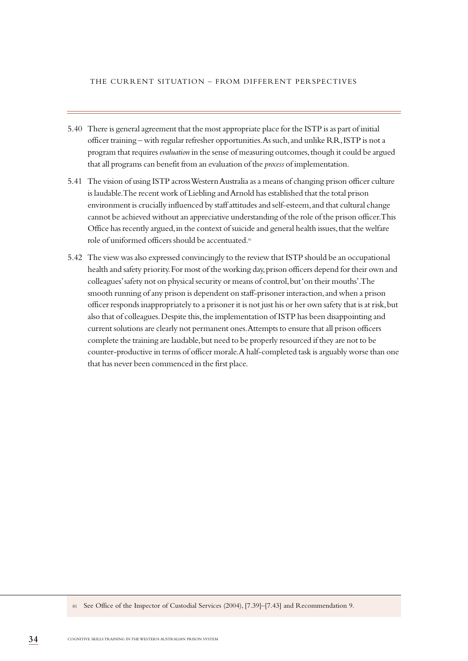### THE CURRENT SITUATION – FROM DIFFERENT PERSPECTIVES

- 5.40 There is general agreement that the most appropriate place for the ISTP is as part of initial officer training – with regular refresher opportunities.As such,and unlike RR,ISTP is not a program that requires *evaluation* in the sense of measuring outcomes,though it could be argued that all programs can benefit from an evaluation of the *process* of implementation.
- 5.41 The vision of using ISTP across Western Australia as a means of changing prison officer culture is laudable.The recent work of Liebling and Arnold has established that the total prison environment is crucially influenced by staff attitudes and self-esteem,and that cultural change cannot be achieved without an appreciative understanding of the role of the prison officer.This Office has recently argued,in the context of suicide and general health issues,that the welfare role of uniformed officers should be accentuated.<sup>81</sup>
- 5.42 The view was also expressed convincingly to the review that ISTP should be an occupational health and safety priority. For most of the working day, prison officers depend for their own and colleagues'safety not on physical security or means of control,but 'on their mouths'.The smooth running of any prison is dependent on staff-prisoner interaction,and when a prison officer responds inappropriately to a prisoner it is not just his or her own safety that is at risk,but also that of colleagues.Despite this,the implementation of ISTP has been disappointing and current solutions are clearly not permanent ones.Attempts to ensure that all prison officers complete the training are laudable,but need to be properly resourced if they are not to be counter-productive in terms of officer morale.A half-completed task is arguably worse than one that has never been commenced in the first place.

81 See Office of the Inspector of Custodial Services (2004), [7.39]-[7.43] and Recommendation 9.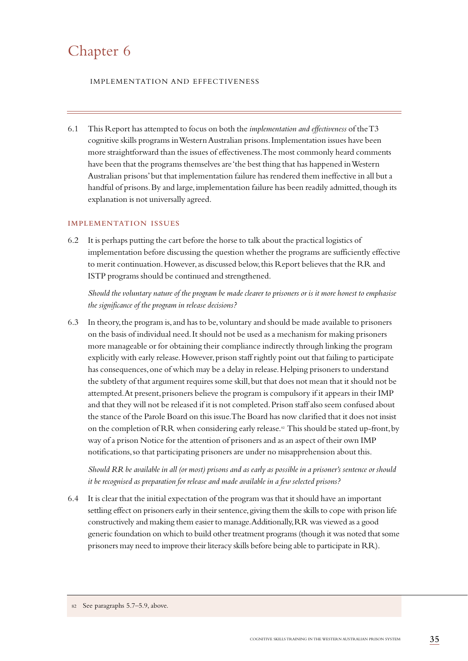# Chapter 6

## IMPLEMENTATION AND EFFECTIVENESS

6.1 This Report has attempted to focus on both the *implementation and effectiveness* of the T3 cognitive skills programs in Western Australian prisons.Implementation issues have been more straightforward than the issues of effectiveness.The most commonly heard comments have been that the programs themselves are 'the best thing that has happened in Western Australian prisons'but that implementation failure has rendered them ineffective in all but a handful of prisons. By and large, implementation failure has been readily admitted, though its explanation is not universally agreed.

## **IMPLEMENTATION ISSUES**

6.2 It is perhaps putting the cart before the horse to talk about the practical logistics of implementation before discussing the question whether the programs are sufficiently effective to merit continuation.However,as discussed below,this Report believes that the RR and ISTP programs should be continued and strengthened.

*Should the voluntary nature of the program be made clearer to prisoners or is it more honest to emphasise the significance of the program in release decisions?*

6.3 In theory,the program is,and has to be,voluntary and should be made available to prisoners on the basis of individual need.It should not be used as a mechanism for making prisoners more manageable or for obtaining their compliance indirectly through linking the program explicitly with early release.However,prison staff rightly point out that failing to participate has consequences,one of which may be a delay in release.Helping prisoners to understand the subtlety of that argument requires some skill, but that does not mean that it should not be attempted. At present, prisoners believe the program is compulsory if it appears in their IMP and that they will not be released if it is not completed.Prison staff also seem confused about the stance of the Parole Board on this issue.The Board has now clarified that it does not insist on the completion of RR when considering early release.<sup>82</sup> This should be stated up-front, by way of a prison Notice for the attention of prisoners and as an aspect of their own IMP notifications,so that participating prisoners are under no misapprehension about this.

*Should RR be available in all (or most) prisons and as early as possible in a prisoner's sentence or should it be recognised as preparation for release and made available in a few selected prisons?*

6.4 It is clear that the initial expectation of the program was that it should have an important settling effect on prisoners early in their sentence, giving them the skills to cope with prison life constructively and making them easier to manage.Additionally,RR was viewed as a good generic foundation on which to build other treatment programs (though it was noted that some prisoners may need to improve their literacy skills before being able to participate in RR).

<sup>82</sup> See paragraphs 5.7–5.9, above.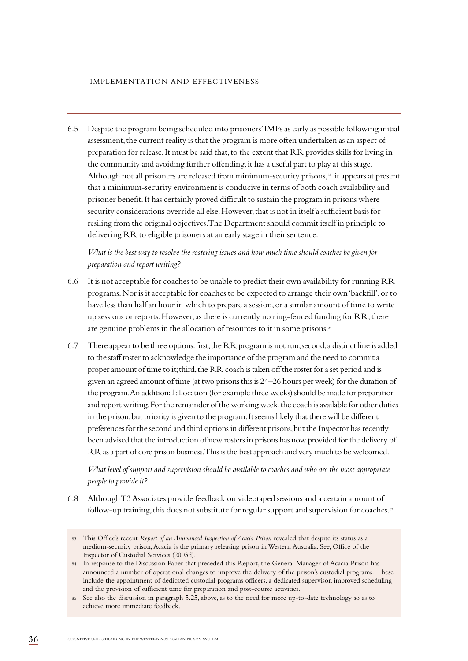6.5 Despite the program being scheduled into prisoners'IMPs as early as possible following initial assessment, the current reality is that the program is more often undertaken as an aspect of preparation for release. It must be said that, to the extent that RR provides skills for living in the community and avoiding further offending,it has a useful part to play at this stage. Although not all prisoners are released from minimum-security prisons, $\mathbf{S}^3$  it appears at present that a minimum-security environment is conducive in terms of both coach availability and prisoner benefit.It has certainly proved difficult to sustain the program in prisons where security considerations override all else.However,that is not in itself a sufficient basis for resiling from the original objectives.The Department should commit itself in principle to delivering RR to eligible prisoners at an early stage in their sentence.

*What is the best way to resolve the rostering issues and how much time should coaches be given for preparation and report writing?*

- 6.6 It is not acceptable for coaches to be unable to predict their own availability for running RR programs.Nor is it acceptable for coaches to be expected to arrange their own 'backfill',or to have less than half an hour in which to prepare a session, or a similar amount of time to write up sessions or reports.However,as there is currently no ring-fenced funding for RR,there are genuine problems in the allocation of resources to it in some prisons.<sup>84</sup>
- 6.7 There appear to be three options:first,the RR program is not run;second,a distinct line is added to the staff roster to acknowledge the importance of the program and the need to commit a proper amount of time to it; third, the RR coach is taken off the roster for a set period and is given an agreed amount of time (at two prisons this is 24–26 hours per week) for the duration of the program.An additional allocation (for example three weeks) should be made for preparation and report writing. For the remainder of the working week, the coach is available for other duties in the prison,but priority is given to the program.It seems likely that there will be different preferences for the second and third options in different prisons,but the Inspector has recently been advised that the introduction of new rosters in prisons has now provided for the delivery of RR as a part of core prison business.This is the best approach and very much to be welcomed.

*What level of support and supervision should be available to coaches and who are the most appropriate people to provide it?*

6.8 Although T3 Associates provide feedback on videotaped sessions and a certain amount of follow-up training, this does not substitute for regular support and supervision for coaches.<sup>85</sup>

<sup>83</sup> This Office's recent *Report of an Announced Inspection of Acacia Prison* revealed that despite its status as a medium-security prison,Acacia is the primary releasing prison in Western Australia. See, Office of the Inspector of Custodial Services (2003d).

<sup>84</sup> In response to the Discussion Paper that preceded this Report, the General Manager of Acacia Prison has announced a number of operational changes to improve the delivery of the prison's custodial programs. These include the appointment of dedicated custodial programs officers, a dedicated supervisor, improved scheduling and the provision of sufficient time for preparation and post-course activities.

<sup>85</sup> See also the discussion in paragraph 5.25, above, as to the need for more up-to-date technology so as to achieve more immediate feedback.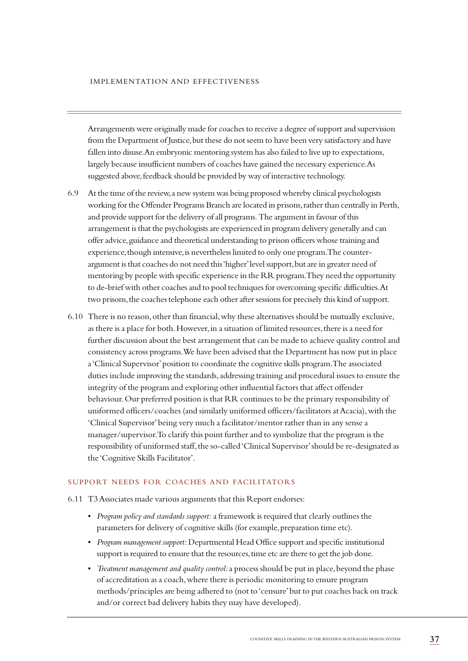Arrangements were originally made for coaches to receive a degree of support and supervision from the Department of Justice,but these do not seem to have been very satisfactory and have fallen into disuse.An embryonic mentoring system has also failed to live up to expectations, largely because insufficient numbers of coaches have gained the necessary experience.As suggested above,feedback should be provided by way of interactive technology.

- 6.9 At the time of the review,a new system was being proposed whereby clinical psychologists working for the Offender Programs Branch are located in prisons,rather than centrally in Perth, and provide support for the delivery of all programs. The argument in favour of this arrangement is that the psychologists are experienced in program delivery generally and can offer advice,guidance and theoretical understanding to prison officers whose training and experience,though intensive,is nevertheless limited to only one program.The counterargument is that coaches do not need this 'higher'level support,but are in greater need of mentoring by people with specific experience in the RR program.They need the opportunity to de-brief with other coaches and to pool techniques for overcoming specific difficulties.At two prisons,the coaches telephone each other after sessions for precisely this kind of support.
- 6.10 There is no reason,other than financial,why these alternatives should be mutually exclusive, as there is a place for both.However,in a situation of limited resources,there is a need for further discussion about the best arrangement that can be made to achieve quality control and consistency across programs.We have been advised that the Department has now put in place a 'Clinical Supervisor'position to coordinate the cognitive skills program.The associated duties include improving the standards, addressing training and procedural issues to ensure the integrity of the program and exploring other influential factors that affect offender behaviour.Our preferred position is that RR continues to be the primary responsibility of uniformed officers/coaches (and similarly uniformed officers/facilitators at Acacia), with the 'Clinical Supervisor'being very much a facilitator/mentor rather than in any sense a manager/supervisor.To clarify this point further and to symbolize that the program is the responsibility of uniformed staff, the so-called 'Clinical Supervisor' should be re-designated as the 'Cognitive Skills Facilitator'.

## **SUPPORT NEEDS FOR COACHES AND FACILITATORS**

- 6.11 T3 Associates made various arguments that this Report endorses:
	- *Program policy and standards support:* a framework is required that clearly outlines the parameters for delivery of cognitive skills (for example, preparation time etc).
	- *Program management support:* Departmental Head Office support and specific institutional support is required to ensure that the resources, time etc are there to get the job done.
	- *Treatment management and quality control:* a process should be put in place, beyond the phase of accreditation as a coach,where there is periodic monitoring to ensure program methods/principles are being adhered to (not to 'censure'but to put coaches back on track and/or correct bad delivery habits they may have developed).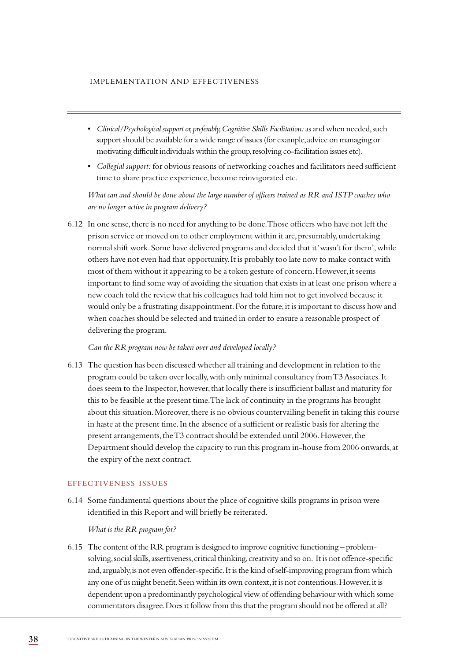- *Clinical/Psychological support or,preferably,Cognitive Skills Facilitation:*as and when needed,such support should be available for a wide range of issues (for example,advice on managing or motivating difficult individuals within the group,resolving co-facilitation issues etc).
- *Collegial support:* for obvious reasons of networking coaches and facilitators need sufficient time to share practice experience, become reinvigorated etc.

*What can and should be done about the large number of officers trained as RR and ISTP coaches who are no longer active in program delivery?*

6.12 In one sense,there is no need for anything to be done.Those officers who have not left the prison service or moved on to other employment within it are, presumably, undertaking normal shift work.Some have delivered programs and decided that it 'wasn't for them',while others have not even had that opportunity.It is probably too late now to make contact with most of them without it appearing to be a token gesture of concern.However,it seems important to find some way of avoiding the situation that exists in at least one prison where a new coach told the review that his colleagues had told him not to get involved because it would only be a frustrating disappointment. For the future, it is important to discuss how and when coaches should be selected and trained in order to ensure a reasonable prospect of delivering the program.

*Can the RR program now be taken over and developed locally?*

6.13 The question has been discussed whether all training and development in relation to the program could be taken over locally,with only minimal consultancy from T3 Associates.It does seem to the Inspector, however, that locally there is insufficient ballast and maturity for this to be feasible at the present time.The lack of continuity in the programs has brought about this situation. Moreover, there is no obvious countervailing benefit in taking this course in haste at the present time.In the absence of a sufficient or realistic basis for altering the present arrangements, the T3 contract should be extended until 2006. However, the Department should develop the capacity to run this program in-house from 2006 onwards, at the expiry of the next contract.

#### **EFFECTIVENESS ISSUES**

6.14 Some fundamental questions about the place of cognitive skills programs in prison were identified in this Report and will briefly be reiterated.

*What is the RR program for?*

6.15 The content of the RR program is designed to improve cognitive functioning – problemsolving, social skills, assertiveness, critical thinking, creativity and so on. It is not offence-specific and, arguably, is not even offender-specific. It is the kind of self-improving program from which any one of us might benefit. Seen within its own context, it is not contentious. However, it is dependent upon a predominantly psychological view of offending behaviour with which some commentators disagree.Does it follow from this that the program should not be offered at all?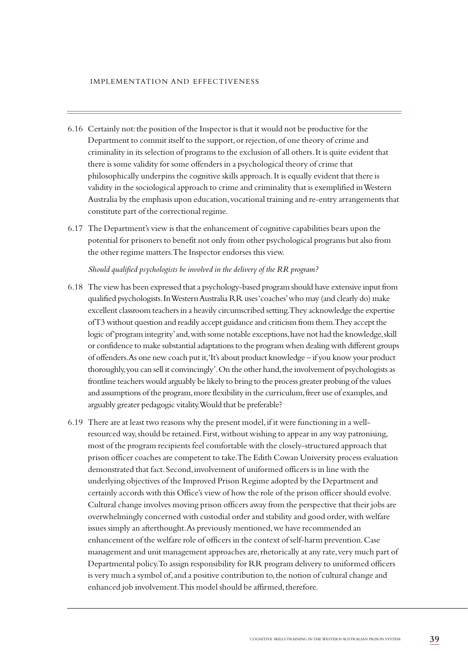- 6.16 Certainly not:the position of the Inspector is that it would not be productive for the Department to commit itself to the support, or rejection, of one theory of crime and criminality in its selection of programs to the exclusion of all others.It is quite evident that there is some validity for some offenders in a psychological theory of crime that philosophically underpins the cognitive skills approach.It is equally evident that there is validity in the sociological approach to crime and criminality that is exemplified in Western Australia by the emphasis upon education, vocational training and re-entry arrangements that constitute part of the correctional regime.
- 6.17 The Department's view is that the enhancement of cognitive capabilities bears upon the potential for prisoners to benefit not only from other psychological programs but also from the other regime matters.The Inspector endorses this view.

## *Should qualified psychologists be involved in the delivery of the RR program?*

- 6.18 The view has been expressed that a psychology-based program should have extensive input from qualified psychologists.In Western Australia RR uses 'coaches'who may (and clearly do) make excellent classroom teachers in a heavily circumscribed setting.They acknowledge the expertise of T3 without question and readily accept guidance and criticism from them.They accept the logic of 'program integrity' and, with some notable exceptions, have not had the knowledge, skill or confidence to make substantial adaptations to the program when dealing with different groups of offenders.As one new coach put it,'It's about product knowledge – if you know your product thoroughly,you can sell it convincingly'.On the other hand,the involvement of psychologists as frontline teachers would arguably be likely to bring to the process greater probing of the values and assumptions of the program, more flexibility in the curriculum, freer use of examples, and arguably greater pedagogic vitality.Would that be preferable?
- 6.19 There are at least two reasons why the present model,if it were functioning in a wellresourced way, should be retained. First, without wishing to appear in any way patronising, most of the program recipients feel comfortable with the closely-structured approach that prison officer coaches are competent to take.The Edith Cowan University process evaluation demonstrated that fact.Second,involvement of uniformed officers is in line with the underlying objectives of the Improved Prison Regime adopted by the Department and certainly accords with this Office's view of how the role of the prison officer should evolve. Cultural change involves moving prison officers away from the perspective that their jobs are overwhelmingly concerned with custodial order and stability and good order,with welfare issues simply an afterthought. As previously mentioned, we have recommended an enhancement of the welfare role of officers in the context of self-harm prevention.Case management and unit management approaches are, rhetorically at any rate, very much part of Departmental policy.To assign responsibility for RR program delivery to uniformed officers is very much a symbol of, and a positive contribution to, the notion of cultural change and enhanced job involvement. This model should be affirmed, therefore.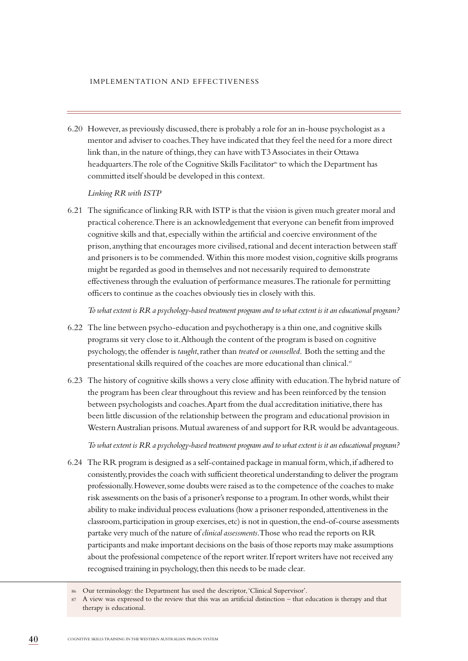6.20 However, as previously discussed, there is probably a role for an in-house psychologist as a mentor and adviser to coaches.They have indicated that they feel the need for a more direct link than, in the nature of things, they can have with T3 Associates in their Ottawa headquarters. The role of the Cognitive Skills Facilitator<sup>86</sup> to which the Department has committed itself should be developed in this context.

### *Linking RR with ISTP*

6.21 The significance of linking RR with ISTP is that the vision is given much greater moral and practical coherence.There is an acknowledgement that everyone can benefit from improved cognitive skills and that,especially within the artificial and coercive environment of the prison,anything that encourages more civilised,rational and decent interaction between staff and prisoners is to be commended. Within this more modest vision,cognitive skills programs might be regarded as good in themselves and not necessarily required to demonstrate effectiveness through the evaluation of performance measures.The rationale for permitting officers to continue as the coaches obviously ties in closely with this.

*To what extent is RR a psychology-based treatment program and to what extent is it an educational program?*

- 6.22 The line between psycho-education and psychotherapy is a thin one,and cognitive skills programs sit very close to it.Although the content of the program is based on cognitive psychology,the offender is *taught*,rather than *treated* or *counselled*. Both the setting and the presentational skills required of the coaches are more educational than clinical.<sup>87</sup>
- 6.23 The history of cognitive skills shows a very close affinity with education.The hybrid nature of the program has been clear throughout this review and has been reinforced by the tension between psychologists and coaches. Apart from the dual accreditation initiative, there has been little discussion of the relationship between the program and educational provision in Western Australian prisons. Mutual awareness of and support for RR would be advantageous.

*To what extent is RR a psychology-based treatment program and to what extent is it an educational program?*

6.24 The RR program is designed as a self-contained package in manual form, which, if adhered to consistently,provides the coach with sufficient theoretical understanding to deliver the program professionally.However,some doubts were raised as to the competence of the coaches to make risk assessments on the basis of a prisoner's response to a program. In other words, whilst their ability to make individual process evaluations (how a prisoner responded, attentiveness in the classroom,participation in group exercises,etc) is not in question,the end-of-course assessments partake very much of the nature of *clinical assessments*.Those who read the reports on RR participants and make important decisions on the basis of those reports may make assumptions about the professional competence of the report writer.If report writers have not received any recognised training in psychology,then this needs to be made clear.

<sup>86</sup> Our terminology: the Department has used the descriptor,'Clinical Supervisor'.

<sup>87</sup> A view was expressed to the review that this was an artificial distinction – that education is therapy and that therapy is educational.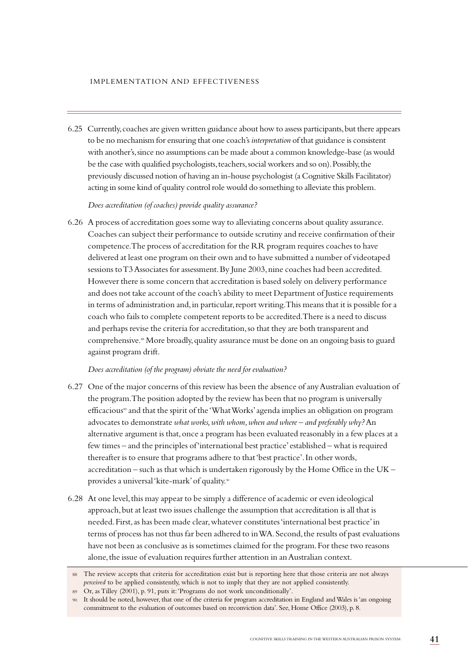6.25 Currently, coaches are given written guidance about how to assess participants, but there appears to be no mechanism for ensuring that one coach's *interpretation* of that guidance is consistent with another's,since no assumptions can be made about a common knowledge-base (as would be the case with qualified psychologists, teachers, social workers and so on). Possibly, the previously discussed notion of having an in-house psychologist (a Cognitive Skills Facilitator) acting in some kind of quality control role would do something to alleviate this problem.

## *Does accreditation (of coaches) provide quality assurance?*

6.26 A process of accreditation goes some way to alleviating concerns about quality assurance. Coaches can subject their performance to outside scrutiny and receive confirmation of their competence.The process of accreditation for the RR program requires coaches to have delivered at least one program on their own and to have submitted a number of videotaped sessions to T3 Associates for assessment. By June 2003, nine coaches had been accredited. However there is some concern that accreditation is based solely on delivery performance and does not take account of the coach's ability to meet Department of Justice requirements in terms of administration and, in particular, report writing. This means that it is possible for a coach who fails to complete competent reports to be accredited.There is a need to discuss and perhaps revise the criteria for accreditation,so that they are both transparent and comprehensive.88 More broadly,quality assurance must be done on an ongoing basis to guard against program drift.

## *Does accreditation (of the program) obviate the need for evaluation?*

- 6.27 One of the major concerns of this review has been the absence of any Australian evaluation of the program.The position adopted by the review has been that no program is universally efficacious<sup>89</sup> and that the spirit of the 'What Works' agenda implies an obligation on program advocates to demonstrate *what works, with whom, when and where – and preferably why?* An alternative argument is that,once a program has been evaluated reasonably in a few places at a few times – and the principles of 'international best practice'established – what is required thereafter is to ensure that programs adhere to that 'best practice'.In other words, accreditation – such as that which is undertaken rigorously by the Home Office in the UK – provides a universal 'kite-mark' of quality.<sup>90</sup>
- 6.28 At one level, this may appear to be simply a difference of academic or even ideological approach,but at least two issues challenge the assumption that accreditation is all that is needed.First,as has been made clear,whatever constitutes 'international best practice'in terms of process has not thus far been adhered to in WA. Second, the results of past evaluations have not been as conclusive as is sometimes claimed for the program.For these two reasons alone,the issue of evaluation requires further attention in an Australian context.

<sup>88</sup> The review accepts that criteria for accreditation exist but is reporting here that those criteria are not always *perceived* to be applied consistently, which is not to imply that they are not applied consistently. perceived to be applied consistently, which is not to imply that they are not so Or, as Tilley (2001), p. 91, puts it: 'Programs do not work unconditionally'.

<sup>90</sup> It should be noted, however, that one of the criteria for program accreditation in England and Wales is 'an ongoing commitment to the evaluation of outcomes based on reconviction data'. See, Home Office (2003), p. 8.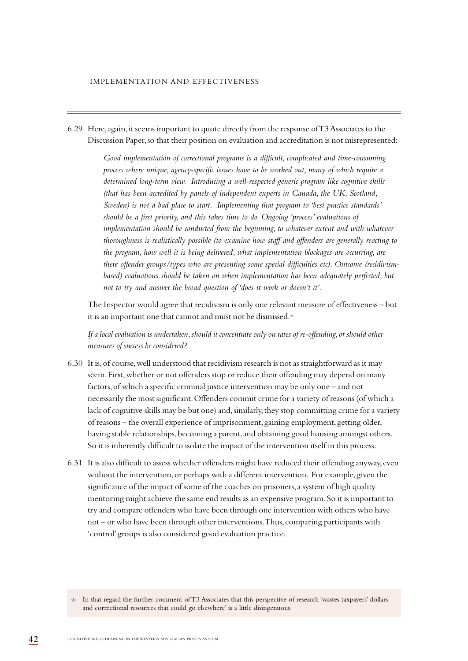6.29 Here,again,it seems important to quote directly from the response of T3 Associates to the Discussion Paper,so that their position on evaluation and accreditation is not misrepresented:

> *Good implementation of correctional programs is a difficult, complicated and time-consuming process where unique, agency-specific issues have to be worked out, many of which require a determined long-term view. Introducing a well-respected generic program like cognitive skills (that has been accredited by panels of independent experts in Canada, the UK, Scotland, Sweden) is not a bad place to start. Implementing that program to 'best practice standards' should be a first priority, and this takes time to do. Ongoing 'process' evaluations of implementation should be conducted from the beginning, to whatever extent and with whatever thoroughness is realistically possible (to examine how staff and offenders are generally reacting to the program, how well it is being delivered, what implementation blockages are occurring, are there offender groups/types who are presenting some special difficulties etc). Outcome (recidivismbased) evaluations should be taken on when implementation has been adequately perfected, but not to try and answer the broad question of 'does it work or doesn't it'.*

The Inspector would agree that recidivism is only one relevant measure of effectiveness – but it is an important one that cannot and must not be dismissed.<sup>91</sup>

*If a local evaluation is undertaken, should it concentrate only on rates of re-offending, or should other measures of success be considered?*

- 6.30 It is,of course,well understood that recidivism research is not as straightforward as it may seem.First,whether or not offenders stop or reduce their offending may depend on many factors,of which a specific criminal justice intervention may be only one – and not necessarily the most significant.Offenders commit crime for a variety of reasons (of which a lack of cognitive skills may be but one) and, similarly, they stop committing crime for a variety of reasons – the overall experience of imprisonment,gaining employment,getting older, having stable relationships, becoming a parent, and obtaining good housing amongst others. So it is inherently difficult to isolate the impact of the intervention itself in this process.
- 6.31 It is also difficult to assess whether offenders might have reduced their offending anyway,even without the intervention, or perhaps with a different intervention. For example, given the significance of the impact of some of the coaches on prisoners, a system of high quality mentoring might achieve the same end results as an expensive program.So it is important to try and compare offenders who have been through one intervention with others who have not – or who have been through other interventions.Thus,comparing participants with 'control'groups is also considered good evaluation practice.

<sup>91</sup> In that regard the further comment of T3 Associates that this perspective of research 'wastes taxpayers' dollars and correctional resources that could go elsewhere' is a little disingenuous.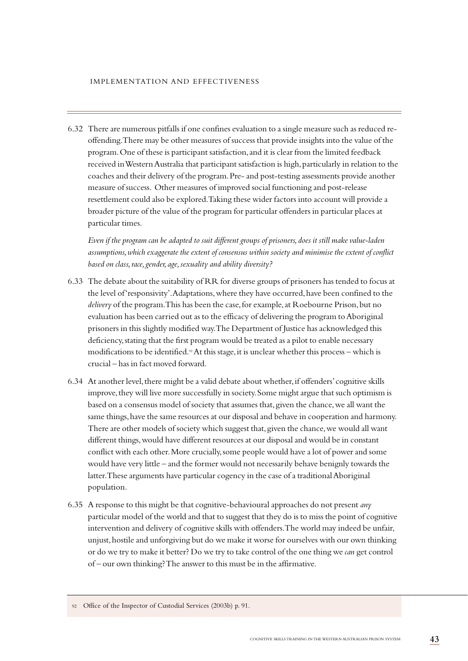6.32 There are numerous pitfalls if one confines evaluation to a single measure such as reduced reoffending.There may be other measures of success that provide insights into the value of the program.One of these is participant satisfaction,and it is clear from the limited feedback received in Western Australia that participant satisfaction is high, particularly in relation to the coaches and their delivery of the program.Pre- and post-testing assessments provide another measure of success. Other measures of improved social functioning and post-release resettlement could also be explored.Taking these wider factors into account will provide a broader picture of the value of the program for particular offenders in particular places at particular times.

*Even if the program can be adapted to suit different groups of prisoners, does it still make value-laden assumptions,which exaggerate the extent of consensus within society and minimise the extent of conflict based on class,race,gender,age,sexuality and ability diversity?* 

- 6.33 The debate about the suitability of RR for diverse groups of prisoners has tended to focus at the level of 'responsivity'.Adaptations,where they have occurred,have been confined to the *delivery* of the program. This has been the case, for example, at Roebourne Prison, but no evaluation has been carried out as to the efficacy of delivering the program to Aboriginal prisoners in this slightly modified way.The Department of Justice has acknowledged this deficiency,stating that the first program would be treated as a pilot to enable necessary modifications to be identified.<sup>92</sup> At this stage, it is unclear whether this process – which is crucial – has in fact moved forward.
- 6.34 At another level, there might be a valid debate about whether, if offenders' cognitive skills improve,they will live more successfully in society.Some might argue that such optimism is based on a consensus model of society that assumes that,given the chance,we all want the same things, have the same resources at our disposal and behave in cooperation and harmony. There are other models of society which suggest that, given the chance, we would all want different things,would have different resources at our disposal and would be in constant conflict with each other.More crucially,some people would have a lot of power and some would have very little – and the former would not necessarily behave benignly towards the latter.These arguments have particular cogency in the case of a traditional Aboriginal population.
- 6.35 A response to this might be that cognitive-behavioural approaches do not present *any* particular model of the world and that to suggest that they do is to miss the point of cognitive intervention and delivery of cognitive skills with offenders.The world may indeed be unfair, unjust,hostile and unforgiving but do we make it worse for ourselves with our own thinking or do we try to make it better? Do we try to take control of the one thing we *can* get control of – our own thinking? The answer to this must be in the affirmative.

<sup>92</sup> Office of the Inspector of Custodial Services (2003b) p. 91.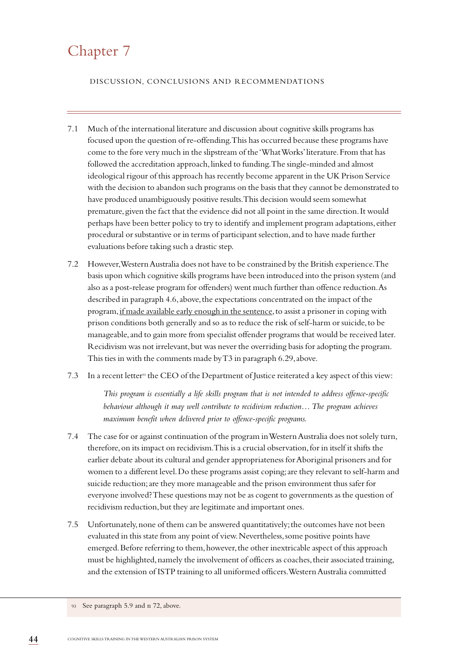# Chapter 7

DISCUSSION, CONCLUSIONS AND RECOMMENDATIONS

- 7.1 Much of the international literature and discussion about cognitive skills programs has focused upon the question of re-offending.This has occurred because these programs have come to the fore very much in the slipstream of the 'What Works'literature.From that has followed the accreditation approach, linked to funding. The single-minded and almost ideological rigour of this approach has recently become apparent in the UK Prison Service with the decision to abandon such programs on the basis that they cannot be demonstrated to have produced unambiguously positive results.This decision would seem somewhat premature,given the fact that the evidence did not all point in the same direction.It would perhaps have been better policy to try to identify and implement program adaptations,either procedural or substantive or in terms of participant selection,and to have made further evaluations before taking such a drastic step.
- 7.2 However,Western Australia does not have to be constrained by the British experience.The basis upon which cognitive skills programs have been introduced into the prison system (and also as a post-release program for offenders) went much further than offence reduction.As described in paragraph 4.6, above, the expectations concentrated on the impact of the program, if made available early enough in the sentence, to assist a prisoner in coping with prison conditions both generally and so as to reduce the risk of self-harm or suicide,to be manageable,and to gain more from specialist offender programs that would be received later. Recidivism was not irrelevant,but was never the overriding basis for adopting the program. This ties in with the comments made by T3 in paragraph 6.29, above.
- 7.3 In a recent letter<sup>93</sup> the CEO of the Department of Justice reiterated a key aspect of this view:

*This program is essentially a life skills program that is not intended to address offence-specific behaviour although it may well contribute to recidivism reduction… The program achieves maximum benefit when delivered prior to offence-specific programs.*

- 7.4 The case for or against continuation of the program in Western Australia does not solely turn, therefore,on its impact on recidivism.This is a crucial observation,for in itself it shifts the earlier debate about its cultural and gender appropriateness for Aboriginal prisoners and for women to a different level. Do these programs assist coping; are they relevant to self-harm and suicide reduction;are they more manageable and the prison environment thus safer for everyone involved? These questions may not be as cogent to governments as the question of recidivism reduction, but they are legitimate and important ones.
- 7.5 Unfortunately,none of them can be answered quantitatively;the outcomes have not been evaluated in this state from any point of view. Nevertheless, some positive points have emerged.Before referring to them,however,the other inextricable aspect of this approach must be highlighted, namely the involvement of officers as coaches, their associated training, and the extension of ISTP training to all uniformed officers.Western Australia committed

<sup>93</sup> See paragraph 5.9 and n 72, above.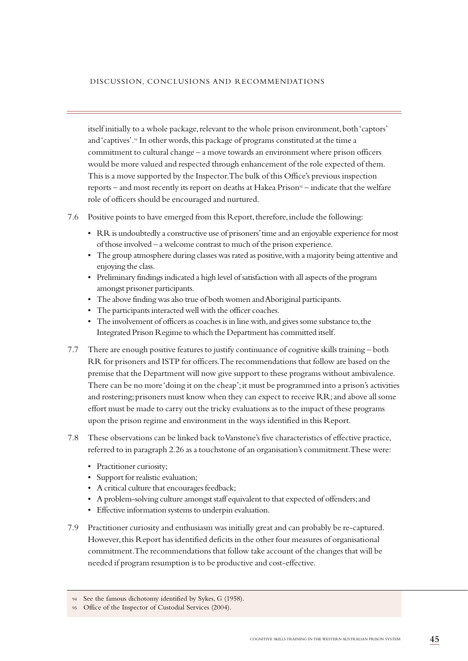itself initially to a whole package, relevant to the whole prison environment, both 'captors' and 'captives'.<sup>94</sup> In other words, this package of programs constituted at the time a commitment to cultural change – a move towards an environment where prison officers would be more valued and respected through enhancement of the role expected of them. This is a move supported by the Inspector.The bulk of this Office's previous inspection reports – and most recently its report on deaths at Hakea Prison<sup>95</sup> – indicate that the welfare role of officers should be encouraged and nurtured.

- 7.6 Positive points to have emerged from this Report,therefore,include the following:
	- RR is undoubtedly a constructive use of prisoners'time and an enjoyable experience for most of those involved – a welcome contrast to much of the prison experience.
	- The group atmosphere during classes was rated as positive,with a majority being attentive and enjoying the class.
	- Preliminary findings indicated a high level of satisfaction with all aspects of the program amongst prisoner participants.
	- The above finding was also true of both women and Aboriginal participants.
	- The participants interacted well with the officer coaches.
	- The involvement of officers as coaches is in line with,and gives some substance to,the Integrated Prison Regime to which the Department has committed itself.
- 7.7 There are enough positive features to justify continuance of cognitive skills training both RR for prisoners and ISTP for officers.The recommendations that follow are based on the premise that the Department will now give support to these programs without ambivalence. There can be no more 'doing it on the cheap'; it must be programmed into a prison's activities and rostering; prisoners must know when they can expect to receive RR; and above all some effort must be made to carry out the tricky evaluations as to the impact of these programs upon the prison regime and environment in the ways identified in this Report.
- 7.8 These observations can be linked back to Vanstone's five characteristics of effective practice, referred to in paragraph 2.26 as a touchstone of an organisation's commitment.These were:
	- Practitioner curiosity;
	- Support for realistic evaluation;
	- A critical culture that encourages feedback;
	- A problem-solving culture amongst staff equivalent to that expected of offenders;and
	- Effective information systems to underpin evaluation.
- 7.9 Practitioner curiosity and enthusiasm was initially great and can probably be re-captured. However,this Report has identified deficits in the other four measures of organisational commitment.The recommendations that follow take account of the changes that will be needed if program resumption is to be productive and cost-effective.

<sup>94</sup> See the famous dichotomy identified by Sykes, G (1958).

<sup>95</sup> Office of the Inspector of Custodial Services (2004).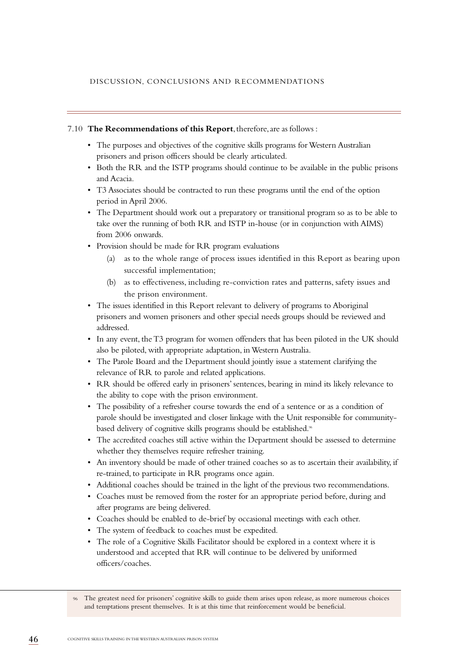## 7.10 **The Recommendations of this Report**, therefore, are as follows :

- The purposes and objectives of the cognitive skills programs for Western Australian prisoners and prison officers should be clearly articulated.
- Both the RR and the ISTP programs should continue to be available in the public prisons and Acacia.
- T3 Associates should be contracted to run these programs until the end of the option period in April 2006.
- The Department should work out a preparatory or transitional program so as to be able to take over the running of both RR and ISTP in-house (or in conjunction with AIMS) from 2006 onwards.
- Provision should be made for RR program evaluations
	- (a) as to the whole range of process issues identified in this Report as bearing upon successful implementation;
	- (b) as to effectiveness, including re-conviction rates and patterns, safety issues and the prison environment.
- The issues identified in this Report relevant to delivery of programs to Aboriginal prisoners and women prisoners and other special needs groups should be reviewed and addressed.
- In any event, the T3 program for women offenders that has been piloted in the UK should also be piloted, with appropriate adaptation, in Western Australia.
- The Parole Board and the Department should jointly issue a statement clarifying the relevance of RR to parole and related applications.
- RR should be offered early in prisoners' sentences, bearing in mind its likely relevance to the ability to cope with the prison environment.
- The possibility of a refresher course towards the end of a sentence or as a condition of parole should be investigated and closer linkage with the Unit responsible for communitybased delivery of cognitive skills programs should be established.<sup>66</sup>
- The accredited coaches still active within the Department should be assessed to determine whether they themselves require refresher training.
- An inventory should be made of other trained coaches so as to ascertain their availability, if re-trained, to participate in RR programs once again.
- Additional coaches should be trained in the light of the previous two recommendations.
- Coaches must be removed from the roster for an appropriate period before, during and after programs are being delivered.
- Coaches should be enabled to de-brief by occasional meetings with each other.
- The system of feedback to coaches must be expedited.
- The role of a Cognitive Skills Facilitator should be explored in a context where it is understood and accepted that RR will continue to be delivered by uniformed officers/coaches.

The greatest need for prisoners' cognitive skills to guide them arises upon release, as more numerous choices and temptations present themselves. It is at this time that reinforcement would be beneficial.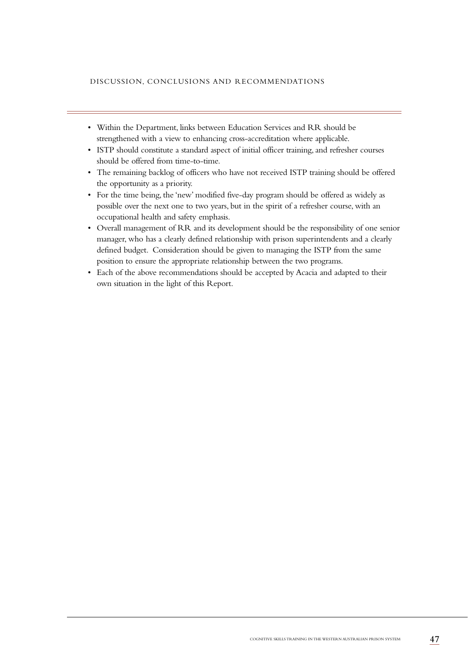- Within the Department, links between Education Services and RR should be strengthened with a view to enhancing cross-accreditation where applicable.
- ISTP should constitute a standard aspect of initial officer training, and refresher courses should be offered from time-to-time.
- The remaining backlog of officers who have not received ISTP training should be offered the opportunity as a priority.
- For the time being, the 'new' modified five-day program should be offered as widely as possible over the next one to two years, but in the spirit of a refresher course, with an occupational health and safety emphasis.
- Overall management of RR and its development should be the responsibility of one senior manager, who has a clearly defined relationship with prison superintendents and a clearly defined budget. Consideration should be given to managing the ISTP from the same position to ensure the appropriate relationship between the two programs.
- Each of the above recommendations should be accepted by Acacia and adapted to their own situation in the light of this Report.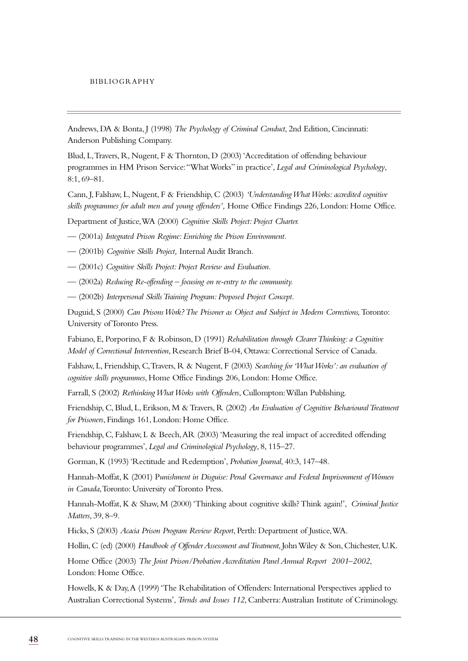#### BIBLIOGRAPHY

Andrews, DA & Bonta, J (1998) *The Psychology of Criminal Conduct*, 2nd Edition, Cincinnati: Anderson Publishing Company.

Blud, L,Travers, R, Nugent, F & Thornton, D (2003) 'Accreditation of offending behaviour programmes in HM Prison Service:"What Works" in practice', *Legal and Criminological Psychology*, 8:1, 69–81.

Cann, J, Falshaw, L, Nugent, F & Friendship, C (2003) *'Understanding What Works: accredited cognitive skills programmes for adult men and young offenders',* Home Office Findings 226, London: Home Office.

Department of Justice,WA (2000) *Cognitive Skills Project: Project Charter.*

— (2001a) *Integrated Prison Regime: Enriching the Prison Environment.*

— (2001b) *Cognitive Skills Project,* Internal Audit Branch.

— (2001c) *Cognitive Skills Project: Project Review and Evaluation.*

— (2002a) *Reducing Re-offending – focusing on re-entry to the community.*

— (2002b) *Interpersonal Skills Training Program: Proposed Project Concept.*

Duguid, S (2000) *Can Prisons Work? The Prisoner as Object and Subject in Modern Corrections,*Toronto: University of Toronto Press.

Fabiano, E, Porporino, F & Robinson, D (1991) *Rehabilitation through Clearer Thinking: a Cognitive Model of Correctional Intervention*, Research Brief B-04, Ottawa: Correctional Service of Canada.

Falshaw, L, Friendship, C,Travers, R & Nugent, F (2003) *Searching for 'What Works': an evaluation of cognitive skills programmes*, Home Office Findings 206, London: Home Office.

Farrall, S (2002) *Rethinking What Works with Offenders*, Cullompton:Willan Publishing.

Friendship, C, Blud, L, Erikson, M & Travers, R (2002) *An Evaluation of Cognitive Behavioural Treatment for Prisoners*, Findings 161, London: Home Office.

Friendship, C, Falshaw, L & Beech,AR (2003) 'Measuring the real impact of accredited offending behaviour programmes', *Legal and Criminological Psychology*, 8, 115–27.

Gorman, K (1993) 'Rectitude and Redemption', *Probation Journal*, 40:3, 147–48.

Hannah-Moffat, K (2001) P*unishment in Disguise: Penal Governance and Federal Imprisonment of Women in Canada*,Toronto: University of Toronto Press.

Hannah-Moffat, K & Shaw, M (2000) 'Thinking about cognitive skills? Think again!', *Criminal Justice Matters*, 39, 8–9.

Hicks, S (2003) *Acacia Prison Program Review Report*, Perth: Department of Justice,WA.

Hollin, C (ed) (2000) *Handbook of Offender Assessment and Treatment*, John Wiley & Son, Chichester, U.K.

Home Office (2003) *The Joint Prison/Probation Accreditation Panel Annual Report 2001–2002*, London: Home Office.

Howells, K & Day,A (1999) 'The Rehabilitation of Offenders: International Perspectives applied to Australian Correctional Systems', *Trends and Issues 112*, Canberra: Australian Institute of Criminology.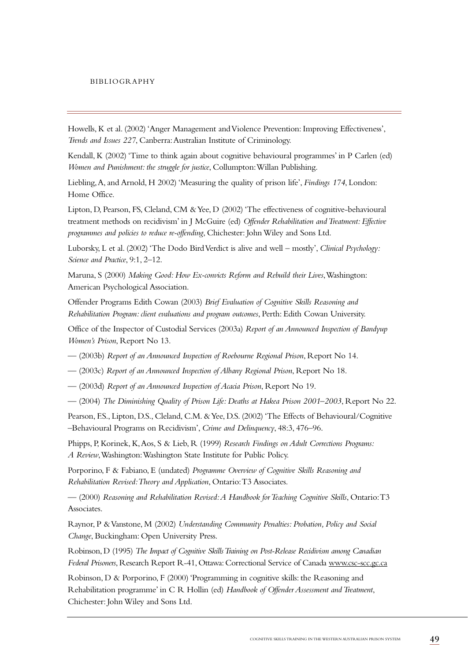#### BIBLIOGRAPHY

Howells, K et al. (2002) 'Anger Management and Violence Prevention: Improving Effectiveness', *Trends and Issues 227*, Canberra:Australian Institute of Criminology.

Kendall, K (2002) 'Time to think again about cognitive behavioural programmes' in P Carlen (ed) *Women and Punishment: the struggle for justice*, Collumpton:Willan Publishing.

Liebling,A, and Arnold, H 2002) 'Measuring the quality of prison life', *Findings 174*, London: Home Office.

Lipton, D, Pearson, FS, Cleland, CM & Yee, D (2002) 'The effectiveness of cognitive-behavioural treatment methods on recidivism' in J McGuire (ed) *Offender Rehabilitation and Treatment: Effective programmes and policies to reduce re-offending*, Chichester: John Wiley and Sons Ltd.

Luborsky, L et al. (2002) 'The Dodo Bird Verdict is alive and well – mostly', *Clinical Psychology: Science and Practice*, 9:1, 2–12.

Maruna, S (2000) *Making Good: How Ex-convicts Reform and Rebuild their Lives*,Washington: American Psychological Association.

Offender Programs Edith Cowan (2003) *Brief Evaluation of Cognitive Skills Reasoning and Rehabilitation Program: client evaluations and program outcomes*, Perth: Edith Cowan University.

Office of the Inspector of Custodial Services (2003a) *Report of an Announced Inspection of Bandyup Women's Prison*, Report No 13.

— (2003b) *Report of an Announced Inspection of Roebourne Regional Prison*, Report No 14.

— (2003c) *Report of an Announced Inspection of Albany Regional Prison*, Report No 18.

— (2003d) *Report of an Announced Inspection of Acacia Prison*, Report No 19.

— (2004) *The Diminishing Quality of Prison Life: Deaths at Hakea Prison 2001–2003*, Report No 22.

Pearson, F.S., Lipton, D.S., Cleland, C.M. & Yee, D.S. (2002) 'The Effects of Behavioural/Cognitive –Behavioural Programs on Recidivism', *Crime and Delinquency*, 48:3, 476–96.

Phipps, P, Korinek, K,Aos, S & Lieb, R (1999) *Research Findings on Adult Corrections Programs: A Review*,Washington:Washington State Institute for Public Policy.

Porporino, F & Fabiano, E (undated) *Programme Overview of Cognitive Skills Reasoning and Rehabilitation Revised:Theory and Application*, Ontario:T3 Associates.

— (2000) *Reasoning and Rehabilitation Revised:A Handbook for Teaching Cognitive Skills*, Ontario:T3 Associates.

Raynor, P & Vanstone, M (2002) *Understanding Community Penalties: Probation, Policy and Social Change*, Buckingham: Open University Press.

Robinson, D (1995) *The Impact of Cognitive Skills Training on Post-Release Recidivism among Canadian Federal Prisoners*, Research Report R-41, Ottawa: Correctional Service of Canada www.csc-scc.gc.ca

Robinson, D & Porporino, F (2000) 'Programming in cognitive skills: the Reasoning and Rehabilitation programme' in C R Hollin (ed) *Handbook of Offender Assessment and Treatment*, Chichester: John Wiley and Sons Ltd.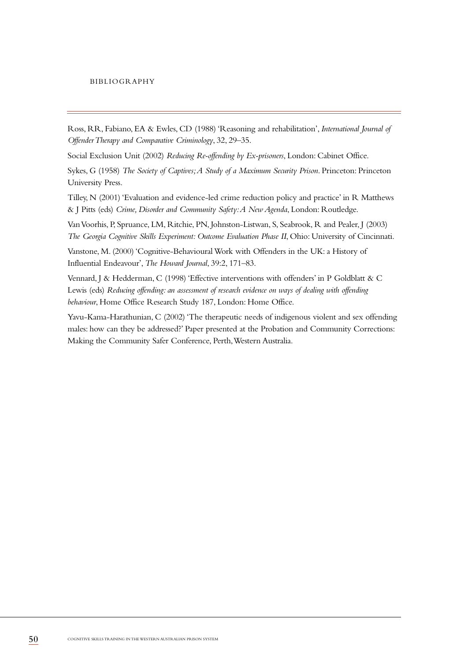#### BIBLIOGRAPHY

Ross, RR, Fabiano, EA & Ewles, CD (1988) 'Reasoning and rehabilitation', *International Journal of Offender Therapy and Comparative Criminology*, 32, 29–35.

Social Exclusion Unit (2002) *Reducing Re-offending by Ex-prisoners*, London: Cabinet Office.

Sykes, G (1958) *The Society of Captives;A Study of a Maximum Security Prison*. Princeton: Princeton University Press.

Tilley, N (2001) 'Evaluation and evidence-led crime reduction policy and practice' in R Matthews & J Pitts (eds) *Crime, Disorder and Community Safety:A New Agenda*, London: Routledge.

Van Voorhis, P, Spruance, LM, Ritchie, PN, Johnston-Listwan, S, Seabrook, R and Pealer, J (2003) *The Georgia Cognitive Skills Experiment: Outcome Evaluation Phase II*, Ohio: University of Cincinnati.

Vanstone, M. (2000) 'Cognitive-Behavioural Work with Offenders in the UK: a History of Influential Endeavour', *The Howard Journal*, 39:2, 171–83.

Vennard, J & Hedderman, C (1998) 'Effective interventions with offenders' in P Goldblatt & C Lewis (eds) *Reducing offending: an assessment of research evidence on ways of dealing with offending behaviour*, Home Office Research Study 187, London: Home Office.

Yavu-Kama-Harathunian, C (2002) 'The therapeutic needs of indigenous violent and sex offending males: how can they be addressed?' Paper presented at the Probation and Community Corrections: Making the Community Safer Conference, Perth,Western Australia.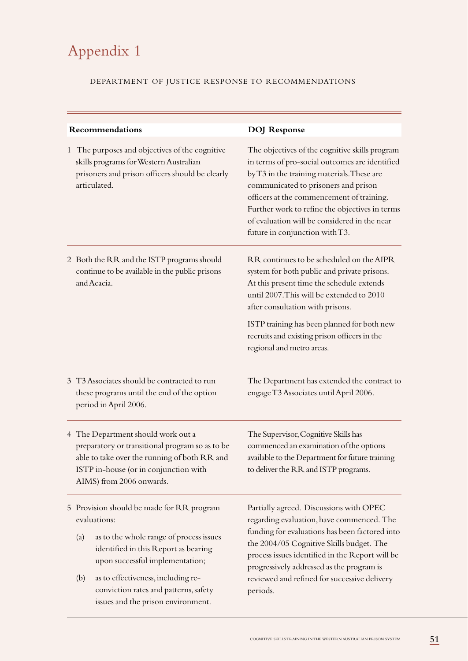# Appendix 1

## DEPARTMENT OF JUSTICE RESPONSE TO RECOMMENDATIONS

| Recommendations                                                                                                                                                                                                                                                                                                    | <b>DOJ</b> Response                                                                                                                                                                                                                                                                                                                                                     |
|--------------------------------------------------------------------------------------------------------------------------------------------------------------------------------------------------------------------------------------------------------------------------------------------------------------------|-------------------------------------------------------------------------------------------------------------------------------------------------------------------------------------------------------------------------------------------------------------------------------------------------------------------------------------------------------------------------|
| 1 The purposes and objectives of the cognitive<br>skills programs for Western Australian<br>prisoners and prison officers should be clearly<br>articulated.                                                                                                                                                        | The objectives of the cognitive skills program<br>in terms of pro-social outcomes are identified<br>by T3 in the training materials. These are<br>communicated to prisoners and prison<br>officers at the commencement of training.<br>Further work to refine the objectives in terms<br>of evaluation will be considered in the near<br>future in conjunction with T3. |
| 2 Both the RR and the ISTP programs should<br>continue to be available in the public prisons<br>and Acacia.                                                                                                                                                                                                        | RR continues to be scheduled on the AIPR<br>system for both public and private prisons.<br>At this present time the schedule extends<br>until 2007. This will be extended to 2010<br>after consultation with prisons.<br>ISTP training has been planned for both new<br>recruits and existing prison officers in the<br>regional and metro areas.                       |
| 3 T3 Associates should be contracted to run<br>these programs until the end of the option<br>period in April 2006.                                                                                                                                                                                                 | The Department has extended the contract to<br>engage T3 Associates until April 2006.                                                                                                                                                                                                                                                                                   |
| 4 The Department should work out a<br>preparatory or transitional program so as to be<br>able to take over the running of both RR and<br>ISTP in-house (or in conjunction with<br>AIMS) from 2006 onwards.                                                                                                         | The Supervisor, Cognitive Skills has<br>commenced an examination of the options<br>available to the Department for future training<br>to deliver the RR and ISTP programs.                                                                                                                                                                                              |
| 5 Provision should be made for RR program<br>evaluations:<br>as to the whole range of process issues<br>(a)<br>identified in this Report as bearing<br>upon successful implementation;<br>as to effectiveness, including re-<br>(b)<br>conviction rates and patterns, safety<br>issues and the prison environment. | Partially agreed. Discussions with OPEC<br>regarding evaluation, have commenced. The<br>funding for evaluations has been factored into<br>the 2004/05 Cognitive Skills budget. The<br>process issues identified in the Report will be<br>progressively addressed as the program is<br>reviewed and refined for successive delivery<br>periods.                          |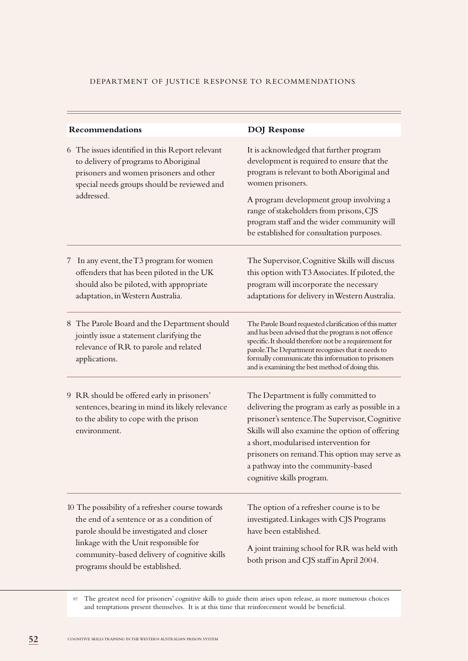| Recommendations                                                                                                                                                                                                                                                        | <b>DOJ</b> Response                                                                                                                                                                                                                                                                                                                                        |  |
|------------------------------------------------------------------------------------------------------------------------------------------------------------------------------------------------------------------------------------------------------------------------|------------------------------------------------------------------------------------------------------------------------------------------------------------------------------------------------------------------------------------------------------------------------------------------------------------------------------------------------------------|--|
| 6 The issues identified in this Report relevant<br>to delivery of programs to Aboriginal<br>prisoners and women prisoners and other<br>special needs groups should be reviewed and<br>addressed.                                                                       | It is acknowledged that further program<br>development is required to ensure that the<br>program is relevant to both Aboriginal and<br>women prisoners.<br>A program development group involving a                                                                                                                                                         |  |
|                                                                                                                                                                                                                                                                        | range of stakeholders from prisons, CJS<br>program staff and the wider community will<br>be established for consultation purposes.                                                                                                                                                                                                                         |  |
| In any event, the T3 program for women<br>$\mathcal{L}$<br>offenders that has been piloted in the UK<br>should also be piloted, with appropriate<br>adaptation, in Western Australia.                                                                                  | The Supervisor, Cognitive Skills will discuss<br>this option with T3 Associates. If piloted, the<br>program will incorporate the necessary<br>adaptations for delivery in Western Australia.                                                                                                                                                               |  |
| 8 The Parole Board and the Department should<br>jointly issue a statement clarifying the<br>relevance of RR to parole and related<br>applications.                                                                                                                     | The Parole Board requested clarification of this matter<br>and has been advised that the program is not offence<br>specific. It should therefore not be a requirement for<br>parole. The Department recognises that it needs to<br>formally communicate this information to prisoners<br>and is examining the best method of doing this.                   |  |
| 9 RR should be offered early in prisoners'<br>sentences, bearing in mind its likely relevance<br>to the ability to cope with the prison<br>environment.                                                                                                                | The Department is fully committed to<br>delivering the program as early as possible in a<br>prisoner's sentence. The Supervisor, Cognitive<br>Skills will also examine the option of offering<br>a short, modularised intervention for<br>prisoners on remand. This option may serve as<br>a pathway into the community-based<br>cognitive skills program. |  |
| 10 The possibility of a refresher course towards<br>the end of a sentence or as a condition of<br>parole should be investigated and closer<br>linkage with the Unit responsible for<br>community-based delivery of cognitive skills<br>programs should be established. | The option of a refresher course is to be<br>investigated. Linkages with CJS Programs<br>have been established.<br>A joint training school for RR was held with<br>both prison and CJS staff in April 2004.                                                                                                                                                |  |

<sup>97</sup> The greatest need for prisoners' cognitive skills to guide them arises upon release, as more numerous choices and temptations present themselves. It is at this time that reinforcement would be beneficial.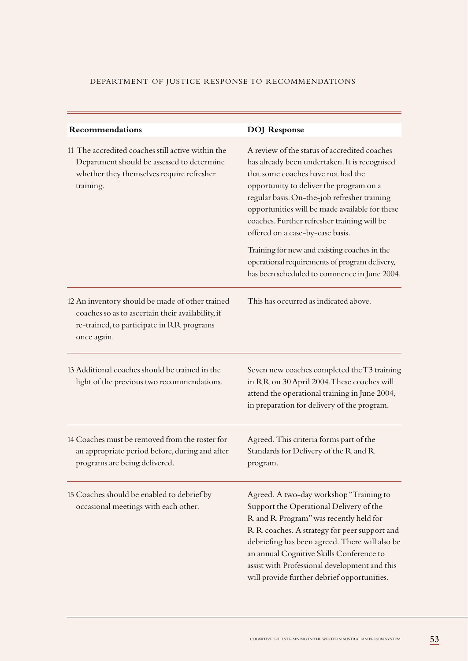| Recommendations                                                                                                                                                  | <b>DOJ</b> Response                                                                                                                                                                                                                                                                                                                                                                                                                                                                                                  |
|------------------------------------------------------------------------------------------------------------------------------------------------------------------|----------------------------------------------------------------------------------------------------------------------------------------------------------------------------------------------------------------------------------------------------------------------------------------------------------------------------------------------------------------------------------------------------------------------------------------------------------------------------------------------------------------------|
| 11 The accredited coaches still active within the<br>Department should be assessed to determine<br>whether they themselves require refresher<br>training.        | A review of the status of accredited coaches<br>has already been undertaken. It is recognised<br>that some coaches have not had the<br>opportunity to deliver the program on a<br>regular basis. On-the-job refresher training<br>opportunities will be made available for these<br>coaches. Further refresher training will be<br>offered on a case-by-case basis.<br>Training for new and existing coaches in the<br>operational requirements of program delivery,<br>has been scheduled to commence in June 2004. |
| 12 An inventory should be made of other trained<br>coaches so as to ascertain their availability, if<br>re-trained, to participate in RR programs<br>once again. | This has occurred as indicated above.                                                                                                                                                                                                                                                                                                                                                                                                                                                                                |
| 13 Additional coaches should be trained in the<br>light of the previous two recommendations.                                                                     | Seven new coaches completed the T3 training<br>in RR on 30 April 2004. These coaches will<br>attend the operational training in June 2004,<br>in preparation for delivery of the program.                                                                                                                                                                                                                                                                                                                            |
| 14 Coaches must be removed from the roster for<br>an appropriate period before, during and after<br>programs are being delivered.                                | Agreed. This criteria forms part of the<br>Standards for Delivery of the R and R<br>program.                                                                                                                                                                                                                                                                                                                                                                                                                         |
| 15 Coaches should be enabled to debrief by<br>occasional meetings with each other.                                                                               | Agreed. A two-day workshop "Training to<br>Support the Operational Delivery of the<br>R and R Program" was recently held for<br>R R coaches. A strategy for peer support and<br>debriefing has been agreed. There will also be<br>an annual Cognitive Skills Conference to<br>assist with Professional development and this<br>will provide further debrief opportunities.                                                                                                                                           |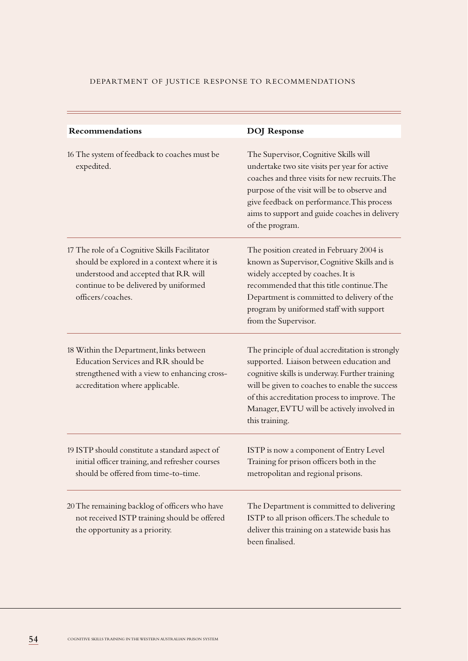| Recommendations                                                                                                                                                                                    | <b>DOJ</b> Response                                                                                                                                                                                                                                                                                              |
|----------------------------------------------------------------------------------------------------------------------------------------------------------------------------------------------------|------------------------------------------------------------------------------------------------------------------------------------------------------------------------------------------------------------------------------------------------------------------------------------------------------------------|
| 16 The system of feedback to coaches must be<br>expedited.                                                                                                                                         | The Supervisor, Cognitive Skills will<br>undertake two site visits per year for active<br>coaches and three visits for new recruits. The<br>purpose of the visit will be to observe and<br>give feedback on performance. This process<br>aims to support and guide coaches in delivery<br>of the program.        |
| 17 The role of a Cognitive Skills Facilitator<br>should be explored in a context where it is<br>understood and accepted that RR will<br>continue to be delivered by uniformed<br>officers/coaches. | The position created in February 2004 is<br>known as Supervisor, Cognitive Skills and is<br>widely accepted by coaches. It is<br>recommended that this title continue. The<br>Department is committed to delivery of the<br>program by uniformed staff with support<br>from the Supervisor.                      |
| 18 Within the Department, links between<br>Education Services and RR should be<br>strengthened with a view to enhancing cross-<br>accreditation where applicable.                                  | The principle of dual accreditation is strongly<br>supported. Liaison between education and<br>cognitive skills is underway. Further training<br>will be given to coaches to enable the success<br>of this accreditation process to improve. The<br>Manager, EVTU will be actively involved in<br>this training. |
| 19 ISTP should constitute a standard aspect of<br>initial officer training, and refresher courses<br>should be offered from time-to-time.                                                          | ISTP is now a component of Entry Level<br>Training for prison officers both in the<br>metropolitan and regional prisons.                                                                                                                                                                                         |
| 20 The remaining backlog of officers who have<br>not received ISTP training should be offered<br>the opportunity as a priority.                                                                    | The Department is committed to delivering<br>ISTP to all prison officers. The schedule to<br>deliver this training on a statewide basis has<br>been finalised.                                                                                                                                                   |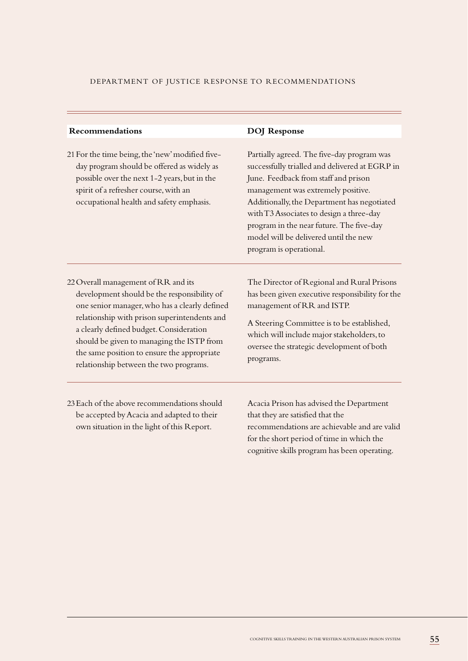| Recommendations                                                                                                                                                                                                                                                                                                                                                      | <b>DOJ</b> Response                                                                                                                                                                                                                                                                                                                                                                   |
|----------------------------------------------------------------------------------------------------------------------------------------------------------------------------------------------------------------------------------------------------------------------------------------------------------------------------------------------------------------------|---------------------------------------------------------------------------------------------------------------------------------------------------------------------------------------------------------------------------------------------------------------------------------------------------------------------------------------------------------------------------------------|
| 21 For the time being, the 'new' modified five-<br>day program should be offered as widely as<br>possible over the next 1-2 years, but in the<br>spirit of a refresher course, with an<br>occupational health and safety emphasis.                                                                                                                                   | Partially agreed. The five-day program was<br>successfully trialled and delivered at EGRP in<br>June. Feedback from staff and prison<br>management was extremely positive.<br>Additionally, the Department has negotiated<br>with T3 Associates to design a three-day<br>program in the near future. The five-day<br>model will be delivered until the new<br>program is operational. |
| 22 Overall management of RR and its<br>development should be the responsibility of<br>one senior manager, who has a clearly defined<br>relationship with prison superintendents and<br>a clearly defined budget. Consideration<br>should be given to managing the ISTP from<br>the same position to ensure the appropriate<br>relationship between the two programs. | The Director of Regional and Rural Prisons<br>has been given executive responsibility for the<br>management of RR and ISTP.<br>A Steering Committee is to be established,<br>which will include major stakeholders, to<br>oversee the strategic development of both<br>programs.                                                                                                      |
| 23 Each of the above recommendations should<br>be accepted by Acacia and adapted to their<br>own situation in the light of this Report.                                                                                                                                                                                                                              | Acacia Prison has advised the Department<br>that they are satisfied that the<br>recommendations are achievable and are valid<br>for the short period of time in which the                                                                                                                                                                                                             |

cognitive skills program has been operating.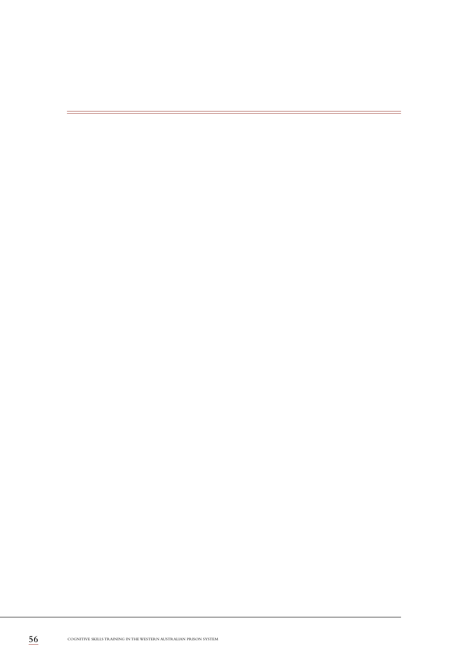COGNITIVE SKILLS TRAINING IN THE WESTERN AUSTRALIAN PRISON SYSTEM